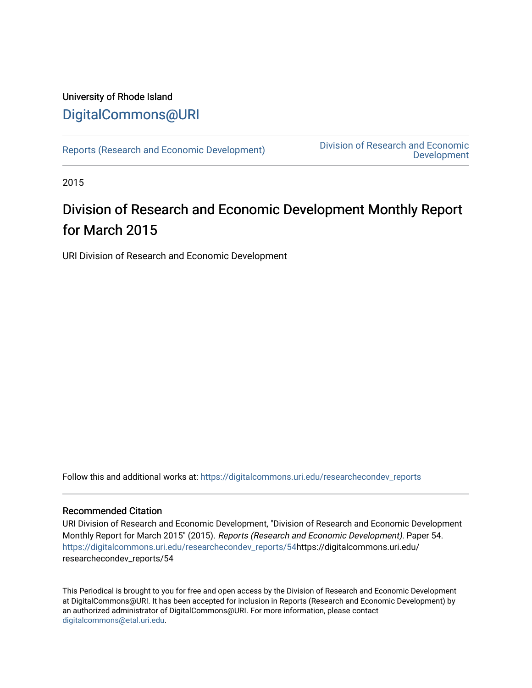## University of Rhode Island [DigitalCommons@URI](https://digitalcommons.uri.edu/)

[Reports \(Research and Economic Development\)](https://digitalcommons.uri.edu/researchecondev_reports) Division of Research and Economic [Development](https://digitalcommons.uri.edu/researchecondev) 

2015

# Division of Research and Economic Development Monthly Report for March 2015

URI Division of Research and Economic Development

Follow this and additional works at: [https://digitalcommons.uri.edu/researchecondev\\_reports](https://digitalcommons.uri.edu/researchecondev_reports?utm_source=digitalcommons.uri.edu%2Fresearchecondev_reports%2F54&utm_medium=PDF&utm_campaign=PDFCoverPages) 

### Recommended Citation

URI Division of Research and Economic Development, "Division of Research and Economic Development Monthly Report for March 2015" (2015). Reports (Research and Economic Development). Paper 54. [https://digitalcommons.uri.edu/researchecondev\\_reports/54](https://digitalcommons.uri.edu/researchecondev_reports/54?utm_source=digitalcommons.uri.edu%2Fresearchecondev_reports%2F54&utm_medium=PDF&utm_campaign=PDFCoverPages)https://digitalcommons.uri.edu/ researchecondev\_reports/54

This Periodical is brought to you for free and open access by the Division of Research and Economic Development at DigitalCommons@URI. It has been accepted for inclusion in Reports (Research and Economic Development) by an authorized administrator of DigitalCommons@URI. For more information, please contact [digitalcommons@etal.uri.edu](mailto:digitalcommons@etal.uri.edu).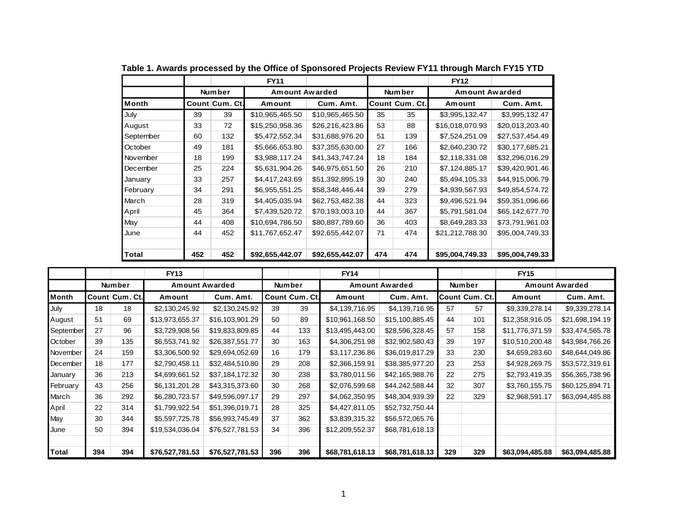|           |     |                | <b>FY11</b>     |                 |     |                | <b>FY12</b>           |                 |
|-----------|-----|----------------|-----------------|-----------------|-----|----------------|-----------------------|-----------------|
|           |     | <b>Number</b>  | Amount Awarded  |                 |     | Number         | <b>Amount Awarded</b> |                 |
| Month     |     | Count Cum. Ct. | Amount          | Cum. Amt.       |     | Count Cum. Ct. | Amount                | Cum. Amt.       |
| July      | 39  | 39             | \$10,965,465.50 | \$10,965,465.50 | 35  | 35             | \$3,995,132.47        | \$3,995,132.47  |
| August    | 33  | 72             | \$15,250,958.36 | \$26,216,423.86 | 53  | 88             | \$16,018,070.93       | \$20,013,203.40 |
| September | 60  | 132            | \$5,472,552.34  | \$31,688,976.20 | 51  | 139            | \$7,524,251.09        | \$27,537,454.49 |
| October   | 49  | 181            | \$5,666,653.80  | \$37,355,630.00 | 27  | 166            | \$2,640,230.72        | \$30,177,685.21 |
| November  | 18  | 199            | \$3,988,117.24  | \$41,343,747.24 | 18  | 184            | \$2,118,331.08        | \$32,296,016.29 |
| December  | 25  | 224            | \$5,631,904.26  | \$46,975,651.50 | 26  | 210            | \$7,124,885.17        | \$39,420,901.46 |
| January   | 33  | 257            | \$4,417,243.69  | \$51,392,895.19 | 30  | 240            | \$5,494,105.33        | \$44,915,006.79 |
| February  | 34  | 291            | \$6,955,551.25  | \$58,348,446.44 | 39  | 279            | \$4,939,567.93        | \$49,854,574.72 |
| March     | 28  | 319            | \$4,405,035.94  | \$62,753,482.38 | 44  | 323            | \$9,496,521.94        | \$59,351,096.66 |
| April     | 45  | 364            | \$7,439,520.72  | \$70,193,003.10 | 44  | 367            | \$5,791,581.04        | \$65,142,677.70 |
| May       | 44  | 408            | \$10,694,786.50 | \$80,887,789.60 | 36  | 403            | \$8,649,283.33        | \$73,791,961.03 |
| June      | 44  | 452            | \$11,767,652.47 | \$92,655,442.07 | 71  | 474            | \$21,212,788.30       | \$95,004,749.33 |
|           |     |                |                 |                 |     |                |                       |                 |
| Total     | 452 | 452            | \$92,655,442.07 | \$92,655,442.07 | 474 | 474            | \$95,004,749.33       | \$95,004,749.33 |

**Table 1. Awards processed by the Office of Sponsored Projects Review FY11 through March FY15 YTD**

|           |     |                | <b>FY13</b>           |                 |     |                | <b>FY14</b>     |                       |     |                | <b>FY15</b>     |                       |
|-----------|-----|----------------|-----------------------|-----------------|-----|----------------|-----------------|-----------------------|-----|----------------|-----------------|-----------------------|
|           |     | Number         | <b>Amount Awarded</b> |                 |     | <b>Number</b>  |                 | <b>Amount Awarded</b> |     | Number         |                 | <b>Amount Awarded</b> |
| Month     |     | Count Cum. Ct. | Amount                | Cum. Amt.       |     | Count Cum. Ct. | Amount          | Cum. Amt.             |     | Count Cum. Ct. | Amount          | Cum. Amt.             |
| July      | 18  | 18             | \$2,130,245.92        | \$2,130,245.92  | 39  | 39             | \$4,139,716.95  | \$4,139,716.95        | 57  | 57             | \$9,339,278.14  | \$9,339,278.14        |
| August    | 51  | 69             | \$13,973,655.37       | \$16,103,901.29 | 50  | 89             | \$10,961,168.50 | \$15,100,885.45       | 44  | 101            | \$12,358,916.05 | \$21,698,194.19       |
| September | 27  | 96             | \$3,729,908.56        | \$19,833,809.85 | 44  | 133            | \$13,495,443.00 | \$28,596,328.45       | 57  | 158            | \$11,776,371.59 | \$33,474,565.78       |
| October   | 39  | 135            | \$6,553,741.92        | \$26,387,551.77 | 30  | 163            | \$4,306,251.98  | \$32,902,580.43       | 39  | 197            | \$10,510,200.48 | \$43,984,766.26       |
| November  | 24  | 159            | \$3,306,500.92        | \$29,694,052.69 | 16  | 179            | \$3,117,236.86  | \$36,019,817.29       | 33  | 230            | \$4,659,283.60  | \$48,644,049.86       |
| December  | 18  | 177            | \$2,790,458.11        | \$32,484,510.80 | 29  | 208            | \$2,366,159.91  | \$38,385,977.20       | 23  | 253            | \$4,928,269.75  | \$53,572,319.61       |
| January   | 36  | 213            | \$4,699,661.52        | \$37,184,172.32 | 30  | 238            | \$3,780,011.56  | \$42,165,988.76       | 22  | 275            | \$2,793,419.35  | \$56,365,738.96       |
| February  | 43  | 256            | \$6,131,201.28        | \$43,315,373.60 | 30  | 268            | \$2,076,599.68  | \$44,242,588.44       | 32  | 307            | \$3,760,155.75  | \$60,125,894.71       |
| March     | 36  | 292            | \$6,280,723.57        | \$49,596,097.17 | 29  | 297            | \$4,062,350.95  | \$48,304,939.39       | 22  | 329            | \$2,968,591.17  | \$63,094,485.88       |
| April     | 22  | 314            | \$1,799,922.54        | \$51,396,019.71 | 28  | 325            | \$4,427,811.05  | \$52,732,750.44       |     |                |                 |                       |
| May       | 30  | 344            | \$5,597,725.78        | \$56,993,745.49 | 37  | 362            | \$3,839,315.32  | \$56,572,065.76       |     |                |                 |                       |
| June      | 50  | 394            | \$19,534,036.04       | \$76,527,781.53 | 34  | 396            | \$12,209,552.37 | \$68,781,618.13       |     |                |                 |                       |
|           |     |                |                       |                 |     |                |                 |                       |     |                |                 |                       |
| Total     | 394 | 394            | \$76,527,781.53       | \$76,527,781.53 | 396 | 396            | \$68,781,618.13 | \$68,781,618.13       | 329 | 329            | \$63,094,485.88 | \$63,094,485.88       |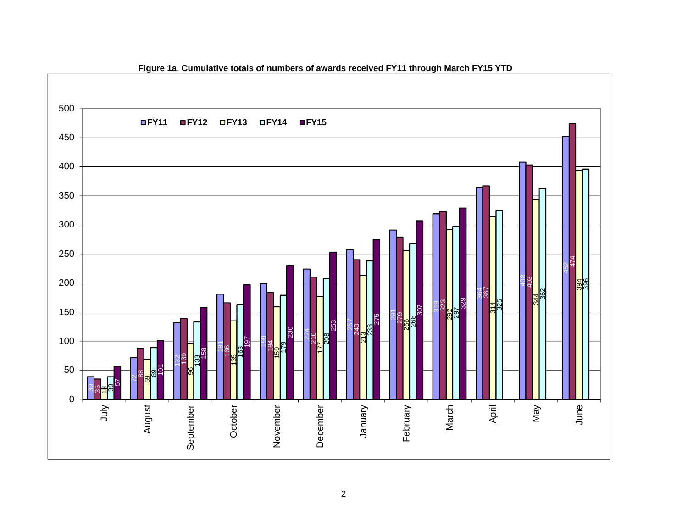

**Figure 1a. Cumulative totals of numbers of awards received FY11 through March FY15 YTD**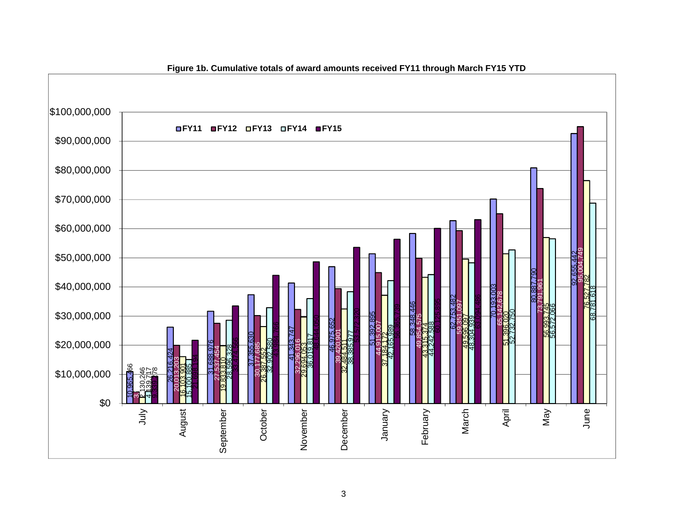

**Figure 1b. Cumulative totals of award amounts received FY11 through March FY15 YTD**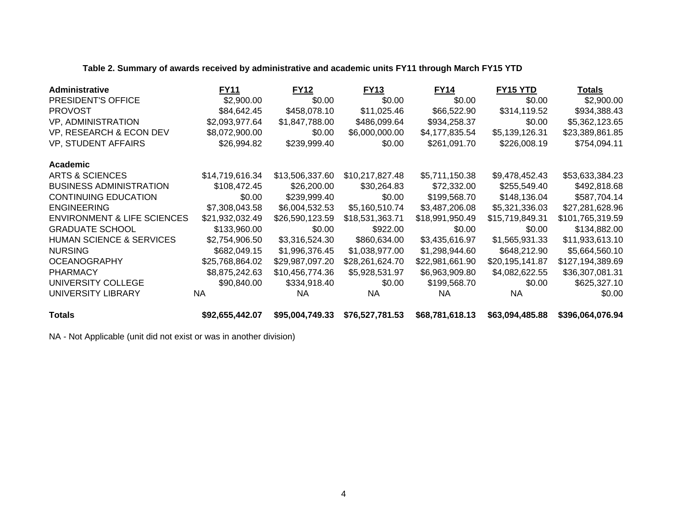## **Table 2. Summary of awards received by administrative and academic units FY11 through March FY15 YTD**

| <b>Administrative</b>                  | <b>FY11</b>     | <b>FY12</b>     | <b>FY13</b>     | <b>FY14</b>     | FY15 YTD        | <b>Totals</b>    |
|----------------------------------------|-----------------|-----------------|-----------------|-----------------|-----------------|------------------|
| PRESIDENT'S OFFICE                     | \$2,900.00      | \$0.00          | \$0.00          | \$0.00          | \$0.00          | \$2,900.00       |
| <b>PROVOST</b>                         | \$84,642.45     | \$458,078.10    | \$11,025.46     | \$66,522.90     | \$314,119.52    | \$934,388.43     |
| VP, ADMINISTRATION                     | \$2,093,977.64  | \$1,847,788.00  | \$486,099.64    | \$934,258.37    | \$0.00          | \$5,362,123.65   |
| VP, RESEARCH & ECON DEV                | \$8,072,900.00  | \$0.00          | \$6,000,000.00  | \$4,177,835.54  | \$5,139,126.31  | \$23,389,861.85  |
| VP, STUDENT AFFAIRS                    | \$26,994.82     | \$239,999.40    | \$0.00          | \$261,091.70    | \$226,008.19    | \$754,094.11     |
| Academic                               |                 |                 |                 |                 |                 |                  |
| ARTS & SCIENCES                        | \$14,719,616.34 | \$13,506,337.60 | \$10,217,827.48 | \$5,711,150.38  | \$9,478,452.43  | \$53,633,384.23  |
| <b>BUSINESS ADMINISTRATION</b>         | \$108,472.45    | \$26,200.00     | \$30,264.83     | \$72,332.00     | \$255,549.40    | \$492,818.68     |
| <b>CONTINUING EDUCATION</b>            | \$0.00          | \$239,999.40    | \$0.00          | \$199,568.70    | \$148,136.04    | \$587,704.14     |
| <b>ENGINEERING</b>                     | \$7,308,043.58  | \$6,004,532.53  | \$5,160,510.74  | \$3,487,206.08  | \$5,321,336.03  | \$27,281,628.96  |
| <b>ENVIRONMENT &amp; LIFE SCIENCES</b> | \$21,932,032.49 | \$26,590,123.59 | \$18,531,363.71 | \$18,991,950.49 | \$15,719,849.31 | \$101,765,319.59 |
| <b>GRADUATE SCHOOL</b>                 | \$133,960.00    | \$0.00          | \$922.00        | \$0.00          | \$0.00          | \$134,882.00     |
| <b>HUMAN SCIENCE &amp; SERVICES</b>    | \$2,754,906.50  | \$3,316,524.30  | \$860,634.00    | \$3,435,616.97  | \$1,565,931.33  | \$11,933,613.10  |
| <b>NURSING</b>                         | \$682,049.15    | \$1,996,376.45  | \$1,038,977.00  | \$1,298,944.60  | \$648,212.90    | \$5,664,560.10   |
| <b>OCEANOGRAPHY</b>                    | \$25,768,864.02 | \$29,987,097.20 | \$28,261,624.70 | \$22,981,661.90 | \$20,195,141.87 | \$127,194,389.69 |
| <b>PHARMACY</b>                        | \$8,875,242.63  | \$10,456,774.36 | \$5,928,531.97  | \$6,963,909.80  | \$4,082,622.55  | \$36,307,081.31  |
| UNIVERSITY COLLEGE                     | \$90,840.00     | \$334,918.40    | \$0.00          | \$199,568.70    | \$0.00          | \$625,327.10     |
| UNIVERSITY LIBRARY                     | NA.             | NA.             | NA.             | NA.             | <b>NA</b>       | \$0.00           |
| <b>Totals</b>                          | \$92,655,442.07 | \$95,004,749.33 | \$76,527,781.53 | \$68,781,618.13 | \$63,094,485.88 | \$396,064,076.94 |

NA - Not Applicable (unit did not exist or was in another division)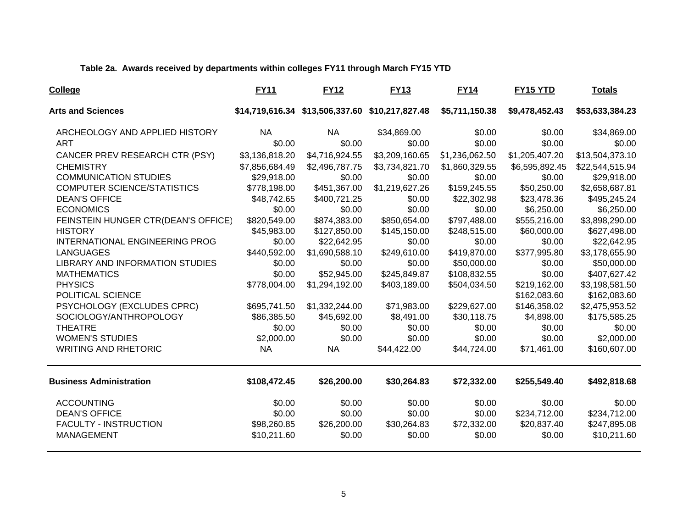## **Table 2a. Awards received by departments within colleges FY11 through March FY15 YTD**

| College                                              | <b>FY11</b>                 | <b>FY12</b>                   | <b>FY13</b>                                     | <b>FY14</b>                 | FY15 YTD                   | Totals                         |
|------------------------------------------------------|-----------------------------|-------------------------------|-------------------------------------------------|-----------------------------|----------------------------|--------------------------------|
| <b>Arts and Sciences</b>                             |                             |                               | \$14,719,616.34 \$13,506,337.60 \$10,217,827.48 | \$5,711,150.38              | \$9,478,452.43             | \$53,633,384.23                |
| ARCHEOLOGY AND APPLIED HISTORY                       | NA.                         | <b>NA</b>                     | \$34,869.00                                     | \$0.00                      | \$0.00                     | \$34,869.00                    |
| <b>ART</b>                                           | \$0.00                      | \$0.00                        | \$0.00                                          | \$0.00                      | \$0.00                     | \$0.00                         |
| CANCER PREV RESEARCH CTR (PSY)                       | \$3,136,818.20              | \$4,716,924.55                | \$3,209,160.65                                  | \$1,236,062.50              | \$1,205,407.20             | \$13,504,373.10                |
| <b>CHEMISTRY</b>                                     | \$7,856,684.49              | \$2,496,787.75                | \$3,734,821.70                                  | \$1,860,329.55              | \$6,595,892.45             | \$22,544,515.94                |
| <b>COMMUNICATION STUDIES</b>                         | \$29,918.00                 | \$0.00                        | \$0.00                                          | \$0.00                      | \$0.00                     | \$29,918.00                    |
| COMPUTER SCIENCE/STATISTICS                          | \$778,198.00                | \$451,367.00                  | \$1,219,627.26                                  | \$159,245.55                | \$50,250.00                | \$2,658,687.81                 |
| <b>DEAN'S OFFICE</b>                                 | \$48,742.65                 | \$400,721.25                  | \$0.00                                          | \$22,302.98                 | \$23,478.36                | \$495,245.24                   |
| <b>ECONOMICS</b>                                     | \$0.00                      | \$0.00                        | \$0.00                                          | \$0.00                      | \$6,250.00                 | \$6,250.00                     |
| FEINSTEIN HUNGER CTR(DEAN'S OFFICE)                  | \$820,549.00                | \$874,383.00                  | \$850,654.00                                    | \$797,488.00                | \$555,216.00               | \$3,898,290.00                 |
| <b>HISTORY</b>                                       | \$45,983.00                 | \$127,850.00                  | \$145,150.00                                    | \$248,515.00                | \$60,000.00                | \$627,498.00                   |
| INTERNATIONAL ENGINEERING PROG                       | \$0.00                      | \$22,642.95                   | \$0.00                                          | \$0.00                      | \$0.00                     | \$22,642.95                    |
| <b>LANGUAGES</b>                                     | \$440,592.00                | \$1,690,588.10                | \$249,610.00                                    | \$419,870.00                | \$377,995.80               | \$3,178,655.90                 |
| <b>LIBRARY AND INFORMATION STUDIES</b>               | \$0.00                      | \$0.00                        | \$0.00                                          | \$50,000.00                 | \$0.00                     | \$50,000.00                    |
| <b>MATHEMATICS</b>                                   | \$0.00                      | \$52,945.00                   | \$245,849.87                                    | \$108,832.55                | \$0.00                     | \$407,627.42                   |
| <b>PHYSICS</b>                                       | \$778,004.00                | \$1,294,192.00                | \$403,189.00                                    | \$504,034.50                | \$219,162.00               | \$3,198,581.50                 |
| POLITICAL SCIENCE                                    |                             |                               |                                                 |                             | \$162,083.60               | \$162,083.60                   |
| PSYCHOLOGY (EXCLUDES CPRC)<br>SOCIOLOGY/ANTHROPOLOGY | \$695,741.50<br>\$86,385.50 | \$1,332,244.00<br>\$45,692.00 | \$71,983.00<br>\$8,491.00                       | \$229,627.00<br>\$30,118.75 | \$146,358.02<br>\$4,898.00 | \$2,475,953.52<br>\$175,585.25 |
| <b>THEATRE</b>                                       | \$0.00                      | \$0.00                        | \$0.00                                          | \$0.00                      | \$0.00                     | \$0.00                         |
| <b>WOMEN'S STUDIES</b>                               | \$2,000.00                  | \$0.00                        | \$0.00                                          | \$0.00                      | \$0.00                     | \$2,000.00                     |
| <b>WRITING AND RHETORIC</b>                          | <b>NA</b>                   | <b>NA</b>                     | \$44,422.00                                     | \$44,724.00                 | \$71,461.00                | \$160,607.00                   |
| <b>Business Administration</b>                       | \$108,472.45                | \$26,200.00                   | \$30,264.83                                     | \$72,332.00                 | \$255,549.40               | \$492,818.68                   |
| <b>ACCOUNTING</b>                                    | \$0.00                      | \$0.00                        | \$0.00                                          | \$0.00                      | \$0.00                     | \$0.00                         |
| <b>DEAN'S OFFICE</b>                                 | \$0.00                      | \$0.00                        | \$0.00                                          | \$0.00                      | \$234,712.00               | \$234,712.00                   |
| <b>FACULTY - INSTRUCTION</b>                         | \$98,260.85                 | \$26,200.00                   | \$30,264.83                                     | \$72,332.00                 | \$20,837.40                | \$247,895.08                   |
| <b>MANAGEMENT</b>                                    | \$10,211.60                 | \$0.00                        | \$0.00                                          | \$0.00                      | \$0.00                     | \$10,211.60                    |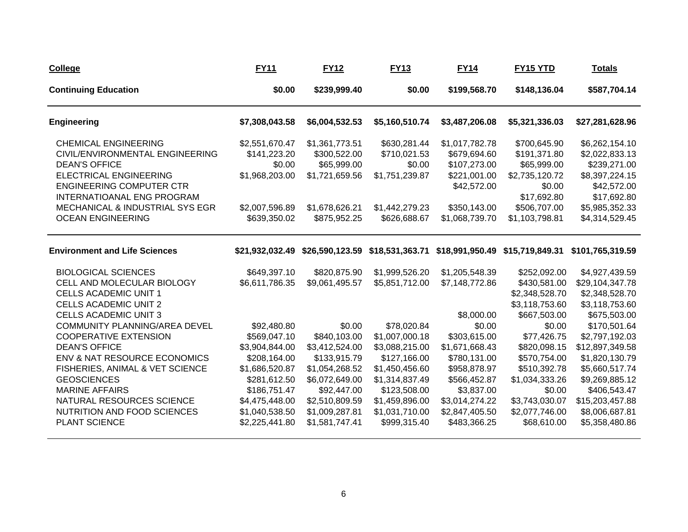| <b>College</b>                                                                                                                                                                                                                                                            | <b>FY11</b>                                                                                                                                                           | <b>FY12</b>                                                                                                                                                       | <b>FY13</b>                                                                                                                                                             | <b>FY14</b>                                                                                                                                      | <b>FY15 YTD</b>                                                                                                                                      | <u>Totals</u>                                                                                                                                                                  |
|---------------------------------------------------------------------------------------------------------------------------------------------------------------------------------------------------------------------------------------------------------------------------|-----------------------------------------------------------------------------------------------------------------------------------------------------------------------|-------------------------------------------------------------------------------------------------------------------------------------------------------------------|-------------------------------------------------------------------------------------------------------------------------------------------------------------------------|--------------------------------------------------------------------------------------------------------------------------------------------------|------------------------------------------------------------------------------------------------------------------------------------------------------|--------------------------------------------------------------------------------------------------------------------------------------------------------------------------------|
| <b>Continuing Education</b>                                                                                                                                                                                                                                               | \$0.00                                                                                                                                                                | \$239,999.40                                                                                                                                                      | \$0.00                                                                                                                                                                  | \$199,568.70                                                                                                                                     | \$148,136.04                                                                                                                                         | \$587,704.14                                                                                                                                                                   |
| <b>Engineering</b>                                                                                                                                                                                                                                                        | \$7,308,043.58                                                                                                                                                        | \$6,004,532.53                                                                                                                                                    | \$5,160,510.74                                                                                                                                                          | \$3,487,206.08                                                                                                                                   | \$5,321,336.03                                                                                                                                       | \$27,281,628.96                                                                                                                                                                |
| <b>CHEMICAL ENGINEERING</b><br>CIVIL/ENVIRONMENTAL ENGINEERING<br><b>DEAN'S OFFICE</b><br><b>ELECTRICAL ENGINEERING</b><br><b>ENGINEERING COMPUTER CTR</b><br><b>INTERNATIOANAL ENG PROGRAM</b><br><b>MECHANICAL &amp; INDUSTRIAL SYS EGR</b><br><b>OCEAN ENGINEERING</b> | \$2,551,670.47<br>\$141,223.20<br>\$0.00<br>\$1,968,203.00<br>\$2,007,596.89<br>\$639,350.02                                                                          | \$1,361,773.51<br>\$300,522.00<br>\$65,999.00<br>\$1,721,659.56<br>\$1,678,626.21<br>\$875,952.25                                                                 | \$630,281.44<br>\$710,021.53<br>\$0.00<br>\$1,751,239.87<br>\$1,442,279.23<br>\$626,688.67                                                                              | \$1,017,782.78<br>\$679,694.60<br>\$107,273.00<br>\$221,001.00<br>\$42,572.00<br>\$350,143.00<br>\$1,068,739.70                                  | \$700,645.90<br>\$191,371.80<br>\$65,999.00<br>\$2,735,120.72<br>\$0.00<br>\$17,692.80<br>\$506,707.00<br>\$1,103,798.81                             | \$6,262,154.10<br>\$2,022,833.13<br>\$239,271.00<br>\$8,397,224.15<br>\$42,572.00<br>\$17,692.80<br>\$5,985,352.33<br>\$4,314,529.45                                           |
| <b>Environment and Life Sciences</b>                                                                                                                                                                                                                                      | \$21,932,032.49                                                                                                                                                       | \$26,590,123.59                                                                                                                                                   |                                                                                                                                                                         |                                                                                                                                                  | \$18,531,363.71 \$18,991,950.49 \$15,719,849.31                                                                                                      | \$101,765,319.59                                                                                                                                                               |
| <b>BIOLOGICAL SCIENCES</b><br>CELL AND MOLECULAR BIOLOGY<br><b>CELLS ACADEMIC UNIT 1</b><br><b>CELLS ACADEMIC UNIT 2</b><br><b>CELLS ACADEMIC UNIT 3</b><br><b>COMMUNITY PLANNING/AREA DEVEL</b>                                                                          | \$649,397.10<br>\$6,611,786.35                                                                                                                                        | \$820,875.90<br>\$9,061,495.57                                                                                                                                    | \$1,999,526.20<br>\$5,851,712.00                                                                                                                                        | \$1,205,548.39<br>\$7,148,772.86<br>\$8,000.00<br>\$0.00                                                                                         | \$252,092.00<br>\$430,581.00<br>\$2,348,528.70<br>\$3,118,753.60<br>\$667,503.00                                                                     | \$4,927,439.59<br>\$29,104,347.78<br>\$2,348,528.70<br>\$3,118,753.60<br>\$675,503.00                                                                                          |
| <b>COOPERATIVE EXTENSION</b><br><b>DEAN'S OFFICE</b><br>ENV & NAT RESOURCE ECONOMICS<br>FISHERIES, ANIMAL & VET SCIENCE<br><b>GEOSCIENCES</b><br><b>MARINE AFFAIRS</b><br>NATURAL RESOURCES SCIENCE<br>NUTRITION AND FOOD SCIENCES<br>PLANT SCIENCE                       | \$92,480.80<br>\$569,047.10<br>\$3,904,844.00<br>\$208,164.00<br>\$1,686,520.87<br>\$281,612.50<br>\$186,751.47<br>\$4,475,448.00<br>\$1,040,538.50<br>\$2,225,441.80 | \$0.00<br>\$840,103.00<br>\$3,412,524.00<br>\$133,915.79<br>\$1,054,268.52<br>\$6,072,649.00<br>\$92,447.00<br>\$2,510,809.59<br>\$1,009,287.81<br>\$1,581,747.41 | \$78,020.84<br>\$1,007,000.18<br>\$3,088,215.00<br>\$127,166.00<br>\$1,450,456.60<br>\$1,314,837.49<br>\$123,508.00<br>\$1,459,896.00<br>\$1,031,710.00<br>\$999,315.40 | \$303,615.00<br>\$1,671,668.43<br>\$780,131.00<br>\$958,878.97<br>\$566,452.87<br>\$3,837.00<br>\$3,014,274.22<br>\$2,847,405.50<br>\$483,366.25 | \$0.00<br>\$77,426.75<br>\$820,098.15<br>\$570,754.00<br>\$510,392.78<br>\$1,034,333.26<br>\$0.00<br>\$3,743,030.07<br>\$2,077,746.00<br>\$68,610.00 | \$170,501.64<br>\$2,797,192.03<br>\$12,897,349.58<br>\$1,820,130.79<br>\$5,660,517.74<br>\$9,269,885.12<br>\$406,543.47<br>\$15,203,457.88<br>\$8,006,687.81<br>\$5,358,480.86 |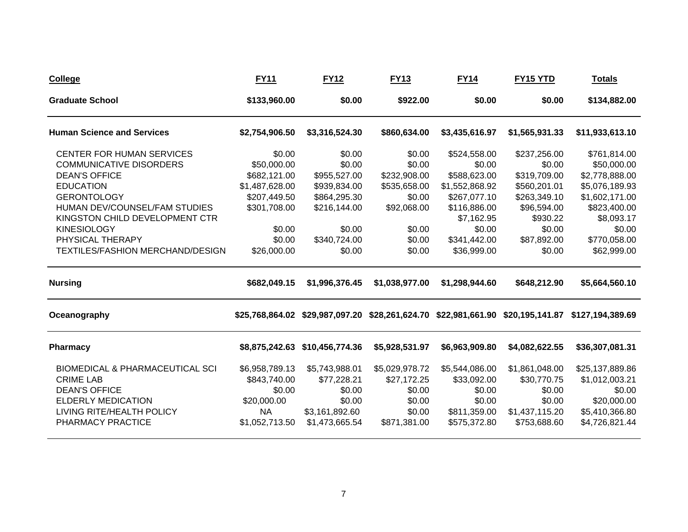| <b>College</b>                                                                                                                                                                                                                                                                        | <b>FY11</b>                                                                                                                | <b>FY12</b>                                                                                                          | <b>FY13</b>                                                                                             | <b>FY14</b>                                                                                                                                     | <b>FY15 YTD</b>                                                                                                                      | <b>Totals</b>                                                                                                                                            |
|---------------------------------------------------------------------------------------------------------------------------------------------------------------------------------------------------------------------------------------------------------------------------------------|----------------------------------------------------------------------------------------------------------------------------|----------------------------------------------------------------------------------------------------------------------|---------------------------------------------------------------------------------------------------------|-------------------------------------------------------------------------------------------------------------------------------------------------|--------------------------------------------------------------------------------------------------------------------------------------|----------------------------------------------------------------------------------------------------------------------------------------------------------|
| <b>Graduate School</b>                                                                                                                                                                                                                                                                | \$133,960.00                                                                                                               | \$0.00                                                                                                               | \$922.00                                                                                                | \$0.00                                                                                                                                          | \$0.00                                                                                                                               | \$134,882.00                                                                                                                                             |
| <b>Human Science and Services</b>                                                                                                                                                                                                                                                     | \$2,754,906.50                                                                                                             | \$3,316,524.30                                                                                                       | \$860,634.00                                                                                            | \$3,435,616.97                                                                                                                                  | \$1,565,931.33                                                                                                                       | \$11,933,613.10                                                                                                                                          |
| <b>CENTER FOR HUMAN SERVICES</b><br><b>COMMUNICATIVE DISORDERS</b><br><b>DEAN'S OFFICE</b><br><b>EDUCATION</b><br><b>GERONTOLOGY</b><br>HUMAN DEV/COUNSEL/FAM STUDIES<br>KINGSTON CHILD DEVELOPMENT CTR<br><b>KINESIOLOGY</b><br>PHYSICAL THERAPY<br>TEXTILES/FASHION MERCHAND/DESIGN | \$0.00<br>\$50,000.00<br>\$682,121.00<br>\$1,487,628.00<br>\$207,449.50<br>\$301,708.00<br>\$0.00<br>\$0.00<br>\$26,000.00 | \$0.00<br>\$0.00<br>\$955,527.00<br>\$939,834.00<br>\$864,295.30<br>\$216,144.00<br>\$0.00<br>\$340,724.00<br>\$0.00 | \$0.00<br>\$0.00<br>\$232,908.00<br>\$535,658.00<br>\$0.00<br>\$92,068.00<br>\$0.00<br>\$0.00<br>\$0.00 | \$524,558.00<br>\$0.00<br>\$588,623.00<br>\$1,552,868.92<br>\$267,077.10<br>\$116,886.00<br>\$7,162.95<br>\$0.00<br>\$341,442.00<br>\$36,999.00 | \$237,256.00<br>\$0.00<br>\$319,709.00<br>\$560,201.01<br>\$263,349.10<br>\$96,594.00<br>\$930.22<br>\$0.00<br>\$87,892.00<br>\$0.00 | \$761,814.00<br>\$50,000.00<br>\$2,778,888.00<br>\$5,076,189.93<br>\$1,602,171.00<br>\$823,400.00<br>\$8,093.17<br>\$0.00<br>\$770,058.00<br>\$62,999.00 |
| <b>Nursing</b>                                                                                                                                                                                                                                                                        | \$682,049.15                                                                                                               | \$1,996,376.45                                                                                                       | \$1,038,977.00                                                                                          | \$1,298,944.60                                                                                                                                  | \$648,212.90                                                                                                                         | \$5,664,560.10                                                                                                                                           |
| Oceanography                                                                                                                                                                                                                                                                          |                                                                                                                            | \$25,768,864.02 \$29,987,097.20 \$28,261,624.70 \$22,981,661.90 \$20,195,141.87                                      |                                                                                                         |                                                                                                                                                 |                                                                                                                                      | \$127,194,389.69                                                                                                                                         |
| <b>Pharmacy</b>                                                                                                                                                                                                                                                                       | \$8,875,242.63                                                                                                             | \$10,456,774.36                                                                                                      | \$5,928,531.97                                                                                          | \$6,963,909.80                                                                                                                                  | \$4,082,622.55                                                                                                                       | \$36,307,081.31                                                                                                                                          |
| <b>BIOMEDICAL &amp; PHARMACEUTICAL SCI</b><br><b>CRIME LAB</b><br><b>DEAN'S OFFICE</b><br><b>ELDERLY MEDICATION</b><br>LIVING RITE/HEALTH POLICY<br>PHARMACY PRACTICE                                                                                                                 | \$6,958,789.13<br>\$843,740.00<br>\$0.00<br>\$20,000.00<br><b>NA</b><br>\$1,052,713.50                                     | \$5,743,988.01<br>\$77,228.21<br>\$0.00<br>\$0.00<br>\$3,161,892.60<br>\$1,473,665.54                                | \$5,029,978.72<br>\$27,172.25<br>\$0.00<br>\$0.00<br>\$0.00<br>\$871,381.00                             | \$5,544,086.00<br>\$33,092.00<br>\$0.00<br>\$0.00<br>\$811,359.00<br>\$575,372.80                                                               | \$1,861,048.00<br>\$30,770.75<br>\$0.00<br>\$0.00<br>\$1,437,115.20<br>\$753,688.60                                                  | \$25,137,889.86<br>\$1,012,003.21<br>\$0.00<br>\$20,000.00<br>\$5,410,366.80<br>\$4,726,821.44                                                           |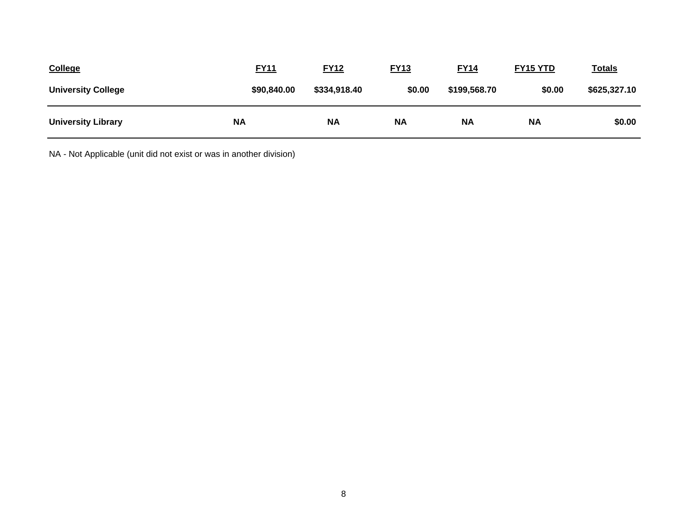| <b>College</b>            | <b>FY11</b> | <b>FY12</b>  | <b>FY13</b> | <b>FY14</b>  | FY15 YTD  | <u>Totals</u> |
|---------------------------|-------------|--------------|-------------|--------------|-----------|---------------|
| <b>University College</b> | \$90,840.00 | \$334,918.40 | \$0.00      | \$199,568.70 | \$0.00    | \$625,327.10  |
| <b>University Library</b> | <b>NA</b>   | <b>NA</b>    | <b>NA</b>   | <b>NA</b>    | <b>NA</b> | \$0.00        |

NA - Not Applicable (unit did not exist or was in another division)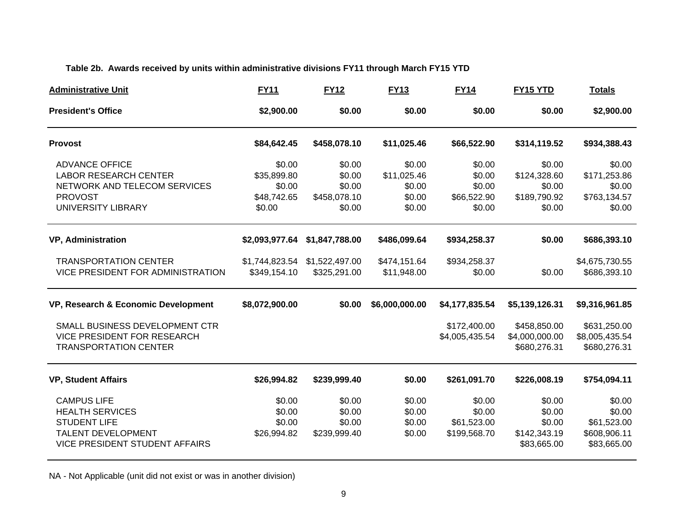## **Table 2b. Awards received by units within administrative divisions FY11 through March FY15 YTD**

| <b>Administrative Unit</b>                                                                                                                | <b>FY11</b>                                              | <b>FY12</b>                                          | <b>FY13</b>                                         | <b>FY14</b>                                         | FY15 YTD                                                   | <b>Totals</b>                                                  |
|-------------------------------------------------------------------------------------------------------------------------------------------|----------------------------------------------------------|------------------------------------------------------|-----------------------------------------------------|-----------------------------------------------------|------------------------------------------------------------|----------------------------------------------------------------|
| <b>President's Office</b>                                                                                                                 | \$2,900.00                                               | \$0.00                                               | \$0.00                                              | \$0.00                                              | \$0.00                                                     | \$2,900.00                                                     |
| <b>Provost</b>                                                                                                                            | \$84,642.45                                              | \$458,078.10                                         | \$11,025.46                                         | \$66,522.90                                         | \$314,119.52                                               | \$934,388.43                                                   |
| <b>ADVANCE OFFICE</b><br><b>LABOR RESEARCH CENTER</b><br>NETWORK AND TELECOM SERVICES<br><b>PROVOST</b><br>UNIVERSITY LIBRARY             | \$0.00<br>\$35,899.80<br>\$0.00<br>\$48,742.65<br>\$0.00 | \$0.00<br>\$0.00<br>\$0.00<br>\$458,078.10<br>\$0.00 | \$0.00<br>\$11,025.46<br>\$0.00<br>\$0.00<br>\$0.00 | \$0.00<br>\$0.00<br>\$0.00<br>\$66,522.90<br>\$0.00 | \$0.00<br>\$124,328.60<br>\$0.00<br>\$189,790.92<br>\$0.00 | \$0.00<br>\$171,253.86<br>\$0.00<br>\$763,134.57<br>\$0.00     |
| <b>VP, Administration</b>                                                                                                                 | \$2,093,977.64                                           | \$1,847,788.00                                       | \$486,099.64                                        | \$934,258.37                                        | \$0.00                                                     | \$686,393.10                                                   |
| <b>TRANSPORTATION CENTER</b><br>VICE PRESIDENT FOR ADMINISTRATION                                                                         | \$1,744,823.54<br>\$349,154.10                           | \$1,522,497.00<br>\$325,291.00                       | \$474,151.64<br>\$11,948.00                         | \$934,258.37<br>\$0.00                              | \$0.00                                                     | \$4,675,730.55<br>\$686,393.10                                 |
| VP, Research & Economic Development                                                                                                       | \$8,072,900.00                                           | \$0.00                                               | \$6,000,000.00                                      | \$4,177,835.54                                      | \$5,139,126.31                                             | \$9,316,961.85                                                 |
| SMALL BUSINESS DEVELOPMENT CTR<br><b>VICE PRESIDENT FOR RESEARCH</b><br><b>TRANSPORTATION CENTER</b>                                      |                                                          |                                                      |                                                     | \$172,400.00<br>\$4,005,435.54                      | \$458,850.00<br>\$4,000,000.00<br>\$680,276.31             | \$631,250.00<br>\$8,005,435.54<br>\$680,276.31                 |
| <b>VP, Student Affairs</b>                                                                                                                | \$26,994.82                                              | \$239,999.40                                         | \$0.00                                              | \$261,091.70                                        | \$226,008.19                                               | \$754,094.11                                                   |
| <b>CAMPUS LIFE</b><br><b>HEALTH SERVICES</b><br><b>STUDENT LIFE</b><br><b>TALENT DEVELOPMENT</b><br><b>VICE PRESIDENT STUDENT AFFAIRS</b> | \$0.00<br>\$0.00<br>\$0.00<br>\$26,994.82                | \$0.00<br>\$0.00<br>\$0.00<br>\$239,999.40           | \$0.00<br>\$0.00<br>\$0.00<br>\$0.00                | \$0.00<br>\$0.00<br>\$61,523.00<br>\$199,568.70     | \$0.00<br>\$0.00<br>\$0.00<br>\$142,343.19<br>\$83,665.00  | \$0.00<br>\$0.00<br>\$61,523.00<br>\$608,906.11<br>\$83,665.00 |

NA - Not Applicable (unit did not exist or was in another division)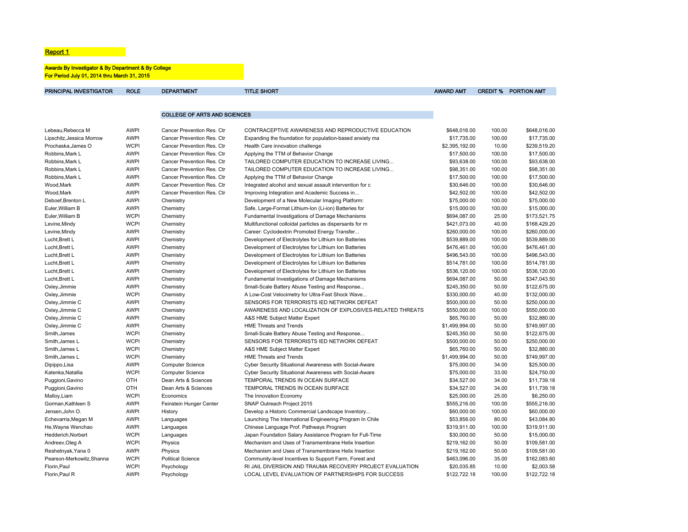#### **Report 1 Report 1**

#### Awards By Investigator & By Department & By College For Period July 01, 2014 thru March 31, 2015

| PRINCIPAL INVESTIGATOR    | <b>ROLE</b> | <b>DEPARTMENT</b>                   | <b>TITLE SHORT</b>                                       | <b>AWARD AMT</b> |        | <b>CREDIT % PORTION AMT</b> |
|---------------------------|-------------|-------------------------------------|----------------------------------------------------------|------------------|--------|-----------------------------|
|                           |             |                                     |                                                          |                  |        |                             |
|                           |             | <b>COLLEGE OF ARTS AND SCIENCES</b> |                                                          |                  |        |                             |
|                           |             |                                     |                                                          |                  |        |                             |
| Lebeau, Rebecca M         | <b>AWPI</b> | Cancer Prevention Res. Ctr          | CONTRACEPTIVE AWARENESS AND REPRODUCTIVE EDUCATION       | \$648,016.00     | 100.00 | \$648,016.00                |
| Lipschitz, Jessica Morrow | <b>AWPI</b> | Cancer Prevention Res. Ctr          | Expanding the foundation for population-based anxiety ma | \$17,735.00      | 100.00 | \$17,735.00                 |
| Prochaska, James O        | <b>WCPI</b> | Cancer Prevention Res. Ctr          | Health Care innovation challenge                         | \$2,395,192.00   | 10.00  | \$239,519.20                |
| Robbins, Mark L           | <b>AWPI</b> | Cancer Prevention Res. Ctr          | Applying the TTM of Behavior Change                      | \$17,500.00      | 100.00 | \$17,500.00                 |
| Robbins, Mark L           | <b>AWPI</b> | Cancer Prevention Res. Ctr          | TAILORED COMPUTER EDUCATION TO INCREASE LIVING           | \$93,638.00      | 100.00 | \$93,638.00                 |
| Robbins, Mark L           | <b>AWPI</b> | Cancer Prevention Res. Ctr          | TAILORED COMPUTER EDUCATION TO INCREASE LIVING           | \$98,351.00      | 100.00 | \$98,351.00                 |
| Robbins, Mark L           | <b>AWPI</b> | Cancer Prevention Res. Ctr          | Applying the TTM of Behavior Change                      | \$17,500.00      | 100.00 | \$17,500.00                 |
| Wood, Mark                | <b>AWPI</b> | Cancer Prevention Res. Ctr          | Integrated alcohol and sexual assault intervention for c | \$30,646.00      | 100.00 | \$30,646.00                 |
| Wood, Mark                | <b>AWPI</b> | Cancer Prevention Res. Ctr          | Improving Integration and Academic Success in            | \$42,502.00      | 100.00 | \$42,502.00                 |
| Deboef, Brenton L         | <b>AWPI</b> | Chemistry                           | Development of a New Molecular Imaging Platform:         | \$75,000.00      | 100.00 | \$75,000.00                 |
| Euler, William B          | <b>AWPI</b> | Chemistry                           | Safe, Large-Format Lithium-Ion (Li-ion) Batteries for    | \$15,000.00      | 100.00 | \$15,000.00                 |
| Euler, William B          | <b>WCPI</b> | Chemistry                           | Fundamental Investigations of Damage Mechanisms          | \$694,087.00     | 25.00  | \$173,521.75                |
| Levine, Mindy             | <b>WCPI</b> | Chemistry                           | Multifunctional colloidal particles as dispersants for m | \$421,073.00     | 40.00  | \$168,429.20                |
| Levine, Mindy             | <b>AWPI</b> | Chemistry                           | Career: Cyclodextrin Promoted Energy Transfer            | \$260,000.00     | 100.00 | \$260,000.00                |
| Lucht, Brett L            | <b>AWPI</b> | Chemistry                           | Development of Electrolytes for Lithium Ion Batteries    | \$539,889.00     | 100.00 | \$539,889.00                |
| Lucht, Brett L            | <b>AWPI</b> | Chemistry                           | Development of Electrolytes for Lithium Ion Batteries    | \$476,461.00     | 100.00 | \$476,461.00                |
| Lucht, Brett L            | <b>AWPI</b> | Chemistry                           | Development of Electrolytes for Lithium Ion Batteries    | \$496,543.00     | 100.00 | \$496,543.00                |
| Lucht, Brett L            | <b>AWPI</b> | Chemistry                           | Development of Electrolytes for Lithium Ion Batteries    | \$514,781.00     | 100.00 | \$514,781.00                |
| Lucht, Brett L            | <b>AWPI</b> | Chemistry                           | Development of Electrolytes for Lithium Ion Batteries    | \$536,120.00     | 100.00 | \$536,120.00                |
| Lucht, Brett L            | <b>AWPI</b> | Chemistry                           | Fundamental Investigations of Damage Mechanisms          | \$694,087.00     | 50.00  | \$347,043.50                |
| Oxley, Jimmie             | <b>AWPI</b> | Chemistry                           | Small-Scale Battery Abuse Testing and Response           | \$245,350.00     | 50.00  | \$122,675.00                |
| Oxley, Jimmie             | <b>WCPI</b> | Chemistry                           | A Low-Cost Velocimetry for Ultra-Fast Shock Wave         | \$330,000.00     | 40.00  | \$132,000.00                |
| Oxley, Jimmie C           | <b>AWPI</b> | Chemistry                           | SENSORS FOR TERRORISTS IED NETWORK DEFEAT                | \$500,000.00     | 50.00  | \$250,000.00                |
| Oxley, Jimmie C           | <b>AWPI</b> | Chemistry                           | AWARENESS AND LOCALIZATION OF EXPLOSIVES-RELATED THREATS | \$550,000.00     | 100.00 | \$550,000.00                |
| Oxley, Jimmie C           | <b>AWPI</b> | Chemistry                           | A&S HME Subject Matter Expert                            | \$65,760.00      | 50.00  | \$32,880.00                 |
| Oxley, Jimmie C           | <b>AWPI</b> | Chemistry                           | <b>HME Threats and Trends</b>                            | \$1,499,994.00   | 50.00  | \$749,997.00                |
| Smith, James              | <b>WCPI</b> | Chemistry                           | Small-Scale Battery Abuse Testing and Response           | \$245,350.00     | 50.00  | \$122,675.00                |
| Smith, James L            | <b>WCPI</b> | Chemistry                           | SENSORS FOR TERRORISTS IED NETWORK DEFEAT                | \$500,000.00     | 50.00  | \$250,000.00                |
| Smith, James L            | <b>WCPI</b> | Chemistry                           | A&S HME Subject Matter Expert                            | \$65,760.00      | 50.00  | \$32,880.00                 |
| Smith, James L            | <b>WCPI</b> | Chemistry                           | <b>HME Threats and Trends</b>                            | \$1,499,994.00   | 50.00  | \$749,997.00                |
| Dipippo, Lisa             | <b>AWPI</b> | Computer Science                    | Cyber Security Situational Awareness with Social-Aware   | \$75,000.00      | 34.00  | \$25,500.00                 |
| Katenka, Natallia         | <b>WCPI</b> | <b>Computer Science</b>             | Cyber Security Situational Awareness with Social-Aware   | \$75,000.00      | 33.00  | \$24,750.00                 |
| Puggioni, Gavino          | <b>OTH</b>  | Dean Arts & Sciences                | TEMPORAL TRENDS IN OCEAN SURFACE                         | \$34,527.00      | 34.00  | \$11,739.18                 |
| Puggioni, Gavino          | <b>OTH</b>  | Dean Arts & Sciences                | TEMPORAL TRENDS IN OCEAN SURFACE                         | \$34,527.00      | 34.00  | \$11,739.18                 |
| Malloy, Liam              | <b>WCPI</b> | Economics                           | The Innovation Economy                                   | \$25,000.00      | 25.00  | \$6,250.00                  |
| Gorman, Kathleen S        | <b>AWPI</b> | Feinstein Hunger Center             | SNAP Outreach Project 2015                               | \$555,216.00     | 100.00 | \$555,216.00                |
| Jensen, John O.           | <b>AWPI</b> | History                             | Develop a Historic Commercial Landscape Inventory        | \$60,000.00      | 100.00 | \$60,000.00                 |
| Echevarria, Megan M       | <b>AWPI</b> | Languages                           | Launching The International Engineering Program In Chile | \$53,856.00      | 80.00  | \$43,084.80                 |
| He, Wayne Wenchao         | <b>AWPI</b> | Languages                           | Chinese Language Prof. Pathways Program                  | \$319,911.00     | 100.00 | \$319,911.00                |
| Hedderich, Norbert        | <b>WCPI</b> | Languages                           | Japan Foundation Salary Assistance Program for Full-Time | \$30,000.00      | 50.00  | \$15,000.00                 |
| Andreev, Oleg A           | <b>WCPI</b> | Physics                             | Mechanism and Uses of Transmembrane Helix Insertion      | \$219,162.00     | 50.00  | \$109,581.00                |
| Reshetnyak, Yana 0        | <b>AWPI</b> | Physics                             | Mechanism and Uses of Transmembrane Helix Insertion      | \$219,162.00     | 50.00  | \$109,581.00                |
| Pearson-Merkowitz, Shanna | <b>WCPI</b> | <b>Political Science</b>            | Community-level Incentives to Support Farm, Forest and   | \$463,096.00     | 35.00  | \$162,083.60                |
| Florin, Paul              | <b>WCPI</b> | Psychology                          | RI JAIL DIVERSION AND TRAUMA RECOVERY PROJECT EVALUATION | \$20,035.85      | 10.00  | \$2,003.58                  |
| Florin, Paul R            | <b>AWPI</b> | Psychology                          | LOCAL LEVEL EVALUATION OF PARTNERSHIPS FOR SUCCESS       | \$122,722.18     | 100.00 | \$122,722.18                |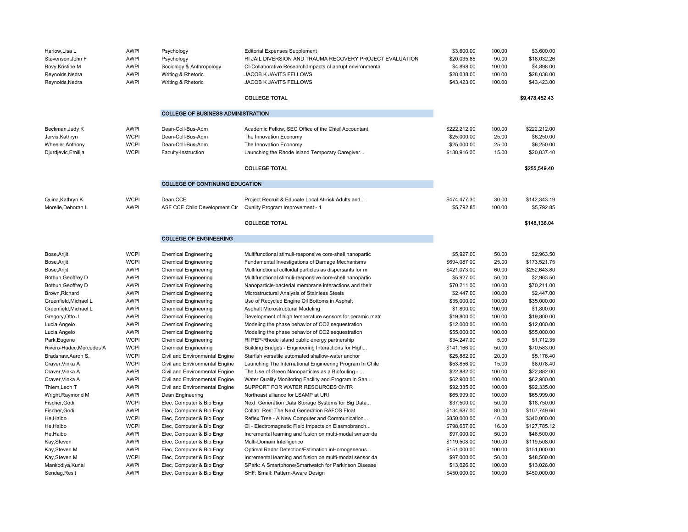| Harlow, Lisa L<br>Stevenson, John F<br>Bovy, Kristine M<br>Reynolds, Nedra<br>Reynolds, Nedra | <b>AWPI</b><br><b>AWPI</b><br><b>AWPI</b><br><b>AWPI</b><br><b>AWPI</b> | Psychology<br>Psychology<br>Sociology & Anthropology<br>Writing & Rhetoric<br>Writing & Rhetoric | <b>Editorial Expenses Supplement</b><br>RI JAIL DIVERSION AND TRAUMA RECOVERY PROJECT EVALUATION<br>CI-Collaborative Research: Impacts of abrupt environmenta<br>JACOB K JAVITS FELLOWS<br>JACOB K JAVITS FELLOWS<br><b>COLLEGE TOTAL</b> | \$3,600.00<br>\$20,035.85<br>\$4,898.00<br>\$28,038.00<br>\$43,423.00 | 100.00<br>90.00<br>100.00<br>100.00<br>100.00 | \$3,600.00<br>\$18,032.26<br>\$4,898.00<br>\$28,038.00<br>\$43,423.00<br>\$9,478,452.43 |
|-----------------------------------------------------------------------------------------------|-------------------------------------------------------------------------|--------------------------------------------------------------------------------------------------|-------------------------------------------------------------------------------------------------------------------------------------------------------------------------------------------------------------------------------------------|-----------------------------------------------------------------------|-----------------------------------------------|-----------------------------------------------------------------------------------------|
|                                                                                               |                                                                         | <b>COLLEGE OF BUSINESS ADMINISTRATION</b>                                                        |                                                                                                                                                                                                                                           |                                                                       |                                               |                                                                                         |
| Beckman, Judy K<br>Jervis, Kathryn<br>Wheeler, Anthony<br>Djurdjevic, Emilija                 | <b>AWPI</b><br><b>WCPI</b><br><b>WCPI</b><br><b>WCPI</b>                | Dean-Coll-Bus-Adm<br>Dean-Coll-Bus-Adm<br>Dean-Coll-Bus-Adm<br>Faculty-Instruction               | Academic Fellow, SEC Office of the Chief Accountant<br>The Innovation Economy<br>The Innovation Economy<br>Launching the Rhode Island Temporary Caregiver<br><b>COLLEGE TOTAL</b>                                                         | \$222.212.00<br>\$25,000.00<br>\$25,000.00<br>\$138,916.00            | 100.00<br>25.00<br>25.00<br>15.00             | \$222.212.00<br>\$6,250.00<br>\$6,250.00<br>\$20,837.40<br>\$255,549.40                 |
|                                                                                               |                                                                         | <b>COLLEGE OF CONTINUING EDUCATION</b>                                                           |                                                                                                                                                                                                                                           |                                                                       |                                               |                                                                                         |
| Quina, Kathryn K<br>Morelle.Deborah L                                                         | <b>WCPI</b><br><b>AWPI</b>                                              | Dean CCE<br>ASF CCE Child Development Ctr Quality Program Improvement - 1                        | Project Recruit & Educate Local At-risk Adults and<br><b>COLLEGE TOTAL</b>                                                                                                                                                                | \$474,477.30<br>\$5,792.85                                            | 30.00<br>100.00                               | \$142,343.19<br>\$5,792.85<br>\$148,136.04                                              |
|                                                                                               |                                                                         | <b>COLLEGE OF ENGINEERING</b>                                                                    |                                                                                                                                                                                                                                           |                                                                       |                                               |                                                                                         |
| Bose, Arijit                                                                                  | <b>WCPI</b>                                                             | <b>Chemical Engineering</b>                                                                      | Multifunctional stimuli-responsive core-shell nanopartic                                                                                                                                                                                  | \$5,927.00                                                            | 50.00                                         | \$2,963.50                                                                              |
| Bose, Arijit                                                                                  | <b>WCPI</b>                                                             | <b>Chemical Engineering</b>                                                                      | Fundamental Investigations of Damage Mechanisms                                                                                                                                                                                           | \$694,087.00                                                          | 25.00                                         | \$173,521.75                                                                            |
| Bose, Arijit                                                                                  | <b>AWPI</b>                                                             | <b>Chemical Engineering</b>                                                                      | Multifunctional colloidal particles as dispersants for m                                                                                                                                                                                  | \$421,073.00                                                          | 60.00                                         | \$252,643.80                                                                            |
| Bothun, Geoffrey D                                                                            | <b>AWPI</b>                                                             | <b>Chemical Engineering</b>                                                                      | Multifunctional stimuli-responsive core-shell nanopartic                                                                                                                                                                                  | \$5,927.00                                                            | 50.00                                         | \$2,963.50                                                                              |
| Bothun, Geoffrey D                                                                            | <b>AWPI</b>                                                             | <b>Chemical Engineering</b>                                                                      | Nanoparticle-bacterial membrane interactions and their                                                                                                                                                                                    | \$70,211.00                                                           | 100.00                                        | \$70,211.00                                                                             |
| Brown.Richard                                                                                 | <b>AWPI</b>                                                             | <b>Chemical Engineering</b>                                                                      | Microstructural Analysis of Stainless Steels                                                                                                                                                                                              | \$2,447.00                                                            | 100.00                                        | \$2,447.00                                                                              |
| Greenfield, Michael L                                                                         | <b>AWPI</b>                                                             | <b>Chemical Engineering</b>                                                                      | Use of Recycled Engine Oil Bottoms in Asphalt                                                                                                                                                                                             | \$35,000.00                                                           | 100.00                                        | \$35,000.00                                                                             |
| Greenfield, Michael L                                                                         | <b>AWPI</b>                                                             | <b>Chemical Engineering</b>                                                                      | Asphalt Microstructural Modeling                                                                                                                                                                                                          | \$1,800.00                                                            | 100.00                                        | \$1,800.00                                                                              |
| Gregory, Otto J                                                                               | <b>AWPI</b>                                                             | <b>Chemical Engineering</b>                                                                      | Development of high temperature sensors for ceramic matr                                                                                                                                                                                  | \$19,800.00                                                           | 100.00                                        | \$19,800.00                                                                             |
| Lucia, Angelo                                                                                 | <b>AWPI</b>                                                             | <b>Chemical Engineering</b>                                                                      | Modeling the phase behavior of CO2 sequestration                                                                                                                                                                                          | \$12,000.00                                                           | 100.00                                        | \$12,000.00                                                                             |
| Lucia, Angelo                                                                                 | <b>AWPI</b>                                                             | <b>Chemical Engineering</b>                                                                      | Modeling the phase behavior of CO2 sequestration                                                                                                                                                                                          | \$55,000.00                                                           | 100.00                                        | \$55,000.00                                                                             |
| Park, Eugene                                                                                  | <b>WCPI</b>                                                             | <b>Chemical Engineering</b>                                                                      | RI PEP-Rhode Island public energy partnership                                                                                                                                                                                             | \$34,247.00                                                           | 5.00                                          | \$1,712.35                                                                              |
| Rivero-Hudec, Mercedes A                                                                      | <b>WCPI</b><br><b>WCPI</b>                                              | <b>Chemical Engineering</b>                                                                      | Building Bridges - Engineering Interactions for High                                                                                                                                                                                      | \$141,166.00<br>\$25,882.00                                           | 50.00<br>20.00                                | \$70,583.00<br>\$5,176.40                                                               |
| Bradshaw, Aaron S.<br>Craver, Vinka A                                                         | <b>WCPI</b>                                                             | Civil and Environmental Engine<br>Civil and Environmental Engine                                 | Starfish versatile automated shallow-water anchor<br>Launching The International Engineering Program In Chile                                                                                                                             | \$53,856.00                                                           | 15.00                                         | \$8,078.40                                                                              |
| Craver, Vinka A                                                                               | <b>AWPI</b>                                                             | Civil and Environmental Engine                                                                   | The Use of Green Nanoparticles as a Biofouling -                                                                                                                                                                                          | \$22,882.00                                                           | 100.00                                        | \$22,882.00                                                                             |
| Craver, Vinka A                                                                               | <b>AWPI</b>                                                             | Civil and Environmental Engine                                                                   | Water Quality Monitoring Facility and Program in San                                                                                                                                                                                      | \$62,900.00                                                           | 100.00                                        | \$62,900.00                                                                             |
| Thiem, Leon T                                                                                 | <b>AWPI</b>                                                             | Civil and Environmental Engine                                                                   | SUPPORT FOR WATER RESOURCES CNTR                                                                                                                                                                                                          | \$92,335.00                                                           | 100.00                                        | \$92,335.00                                                                             |
| Wright, Raymond M                                                                             | <b>AWPI</b>                                                             | Dean Engineering                                                                                 | Northeast alliance for LSAMP at URI                                                                                                                                                                                                       | \$65,999.00                                                           | 100.00                                        | \$65,999.00                                                                             |
| Fischer, Godi                                                                                 | <b>WCPI</b>                                                             | Elec, Computer & Bio Engr                                                                        | Next Generation Data Storage Systems for Big Data                                                                                                                                                                                         | \$37,500.00                                                           | 50.00                                         | \$18,750.00                                                                             |
| Fischer, Godi                                                                                 | <b>AWPI</b>                                                             | Elec, Computer & Bio Engr                                                                        | Collab. Res: The Next Generation RAFOS Float                                                                                                                                                                                              | \$134,687.00                                                          | 80.00                                         | \$107,749.60                                                                            |
| He,Haibo                                                                                      | <b>WCPI</b>                                                             | Elec, Computer & Bio Engr                                                                        | Reflex Tree - A New Computer and Communication                                                                                                                                                                                            | \$850,000.00                                                          | 40.00                                         | \$340,000.00                                                                            |
| He, Haibo                                                                                     | <b>WCPI</b>                                                             | Elec, Computer & Bio Engr                                                                        | CI - Electromagnetic Field Impacts on Elasmobranch                                                                                                                                                                                        | \$798,657.00                                                          | 16.00                                         | \$127,785.12                                                                            |
| He, Haibo                                                                                     | <b>AWPI</b>                                                             | Elec, Computer & Bio Engr                                                                        | Incremental learning and fusion on multi-modal sensor da                                                                                                                                                                                  | \$97,000.00                                                           | 50.00                                         | \$48,500.00                                                                             |
| Kay, Steven                                                                                   | <b>AWPI</b>                                                             | Elec, Computer & Bio Engr                                                                        | Multi-Domain Intelligence                                                                                                                                                                                                                 | \$119,508.00                                                          | 100.00                                        | \$119,508.00                                                                            |
| Kay, Steven M                                                                                 | <b>AWPI</b>                                                             | Elec, Computer & Bio Engr                                                                        | Optimal Radar Detection/Estimation inHomogeneous                                                                                                                                                                                          | \$151,000.00                                                          | 100.00                                        | \$151,000.00                                                                            |
| Kay, Steven M                                                                                 | <b>WCPI</b>                                                             | Elec, Computer & Bio Engr                                                                        | Incremental learning and fusion on multi-modal sensor da                                                                                                                                                                                  | \$97,000.00                                                           | 50.00                                         | \$48,500.00                                                                             |
| Mankodiya, Kunal                                                                              | <b>AWPI</b>                                                             | Elec, Computer & Bio Engr                                                                        | SPark: A Smartphone/Smartwatch for Parkinson Disease                                                                                                                                                                                      | \$13,026.00                                                           | 100.00                                        | \$13,026.00                                                                             |
| Sendag, Resit                                                                                 | <b>AWPI</b>                                                             | Elec, Computer & Bio Engr                                                                        | SHF: Small: Pattern-Aware Design                                                                                                                                                                                                          | \$450,000.00                                                          | 100.00                                        | \$450,000.00                                                                            |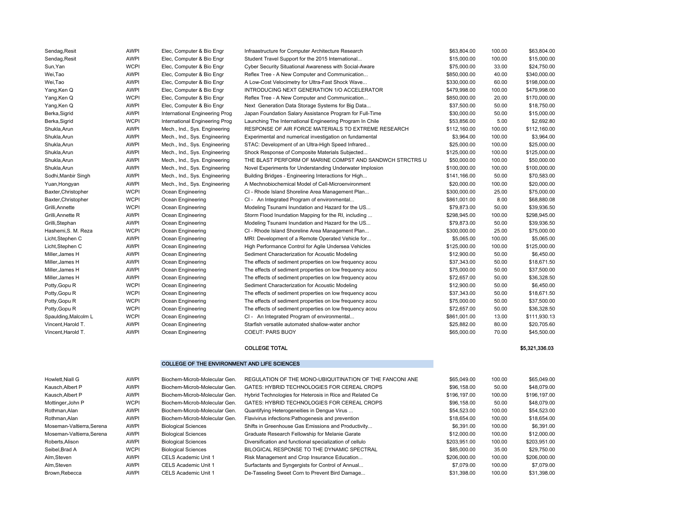| Sendag, Resit        | <b>AWPI</b> | Elec, Computer & Bio Engr      | Infraastructure for Computer Architecture Research       | \$63,804.00  | 100.00 | \$63,804.00    |
|----------------------|-------------|--------------------------------|----------------------------------------------------------|--------------|--------|----------------|
| Sendag, Resit        | <b>AWPI</b> | Elec, Computer & Bio Engr      | Student Travel Support for the 2015 International        | \$15,000.00  | 100.00 | \$15,000.00    |
| Sun, Yan             | <b>WCPI</b> | Elec, Computer & Bio Engr      | Cyber Security Situational Awareness with Social-Aware   | \$75,000.00  | 33.00  | \$24,750.00    |
| Wei, Tao             | <b>AWPI</b> | Elec, Computer & Bio Engr      | Reflex Tree - A New Computer and Communication           | \$850,000.00 | 40.00  | \$340,000.00   |
| Wei, Tao             | <b>AWPI</b> | Elec, Computer & Bio Engr      | A Low-Cost Velocimetry for Ultra-Fast Shock Wave         | \$330,000.00 | 60.00  | \$198,000.00   |
| Yang, Ken Q          | <b>AWPI</b> | Elec, Computer & Bio Engr      | INTRODUCING NEXT GENERATION 1/O ACCELERATOR              | \$479,998.00 | 100.00 | \$479,998.00   |
| Yang, Ken Q          | <b>WCPI</b> | Elec, Computer & Bio Engr      | Reflex Tree - A New Computer and Communication           | \$850,000.00 | 20.00  | \$170,000.00   |
| Yang, Ken Q          | <b>AWPI</b> | Elec, Computer & Bio Engr      | Next Generation Data Storage Systems for Big Data        | \$37,500.00  | 50.00  | \$18,750.00    |
| Berka, Sigrid        | <b>AWPI</b> | International Engineering Prog | Japan Foundation Salary Assistance Program for Full-Time | \$30,000.00  | 50.00  | \$15,000.00    |
| Berka, Sigrid        | <b>WCPI</b> | International Engineering Prog | Launching The International Engineering Program In Chile | \$53,856.00  | 5.00   | \$2,692.80     |
| Shukla, Arun         | <b>AWPI</b> | Mech., Ind., Sys. Engineering  | RESPONSE OF AIR FORCE MATERIALS TO EXTREME RESEARCH      | \$112,160.00 | 100.00 | \$112,160.00   |
| Shukla, Arun         | <b>AWPI</b> | Mech., Ind., Sys. Engineering  | Experimental and numerical investigation on fundamental  | \$3,964.00   | 100.00 | \$3,964.00     |
| Shukla, Arun         | <b>AWPI</b> | Mech., Ind., Sys. Engineering  | STAC: Development of an Ultra-High Speed Infrared        | \$25,000.00  | 100.00 | \$25,000.00    |
| Shukla, Arun         | <b>AWPI</b> | Mech., Ind., Sys. Engineering  | Shock Response of Composite Materials Subjected          | \$125,000.00 | 100.00 | \$125,000.00   |
| Shukla, Arun         | <b>AWPI</b> | Mech., Ind., Sys. Engineering  | THE BLAST PERFORM OF MARINE COMPST AND SANDWCH STRCTRS U | \$50,000.00  | 100.00 | \$50,000.00    |
| Shukla, Arun         | <b>AWPI</b> | Mech., Ind., Sys. Engineering  | Novel Experiments for Understanding Underwater Implosion | \$100,000.00 | 100.00 | \$100,000.00   |
| Sodhi, Manbir Singh  | <b>AWPI</b> | Mech., Ind., Sys. Engineering  | Building Bridges - Engineering Interactions for High     | \$141,166.00 | 50.00  | \$70,583.00    |
| Yuan, Hongyan        | <b>AWPI</b> | Mech., Ind., Sys. Engineering  | A Mechnobiochemical Model of Cell-Microenvironment       | \$20,000.00  | 100.00 | \$20,000.00    |
| Baxter, Christopher  | <b>WCPI</b> | Ocean Engineering              | CI - Rhode Island Shoreline Area Management Plan         | \$300,000.00 | 25.00  | \$75,000.00    |
| Baxter, Christopher  | <b>WCPI</b> | Ocean Engineering              | CI - An Integrated Program of environmental              | \$861,001.00 | 8.00   | \$68,880.08    |
| Grilli, Annette      | <b>WCPI</b> | Ocean Engineering              | Modeling Tsunami Inundation and Hazard for the US        | \$79,873.00  | 50.00  | \$39,936.50    |
| Grilli, Annette R    | <b>AWPI</b> | Ocean Engineering              | Storm Flood Inundation Mapping for the RI, including     | \$298,945.00 | 100.00 | \$298,945.00   |
| Grilli, Stephan      | <b>AWPI</b> | Ocean Engineering              | Modeling Tsunami Inundation and Hazard for the US        | \$79,873.00  | 50.00  | \$39,936.50    |
| Hashemi, S. M. Reza  | <b>WCPI</b> | Ocean Engineering              | CI - Rhode Island Shoreline Area Management Plan         | \$300,000.00 | 25.00  | \$75,000.00    |
| Licht, Stephen C     | <b>AWPI</b> | Ocean Engineering              | MRI: Development of a Remote Operated Vehicle for        | \$5,065.00   | 100.00 | \$5,065.00     |
| Licht, Stephen C     | <b>AWPI</b> | Ocean Engineering              | High Performance Control for Agile Undersea Vehicles     | \$125,000.00 | 100.00 | \$125,000.00   |
| Miller, James H      | <b>AWPI</b> | Ocean Engineering              | Sediment Characterization for Acoustic Modeling          | \$12,900.00  | 50.00  | \$6,450.00     |
| Miller, James H      | <b>AWPI</b> | Ocean Engineering              | The effects of sediment properties on low frequency acou | \$37,343.00  | 50.00  | \$18,671.50    |
| Miller, James H      | <b>AWPI</b> | Ocean Engineering              | The effects of sediment properties on low frequency acou | \$75,000.00  | 50.00  | \$37,500.00    |
| Miller, James H      | <b>AWPI</b> | Ocean Engineering              | The effects of sediment properties on low frequency acou | \$72,657.00  | 50.00  | \$36,328.50    |
| Potty, Gopu R        | <b>WCPI</b> | Ocean Engineering              | Sediment Characterization for Acoustic Modeling          | \$12,900.00  | 50.00  | \$6,450.00     |
| Potty, Gopu R        | <b>WCPI</b> | Ocean Engineering              | The effects of sediment properties on low frequency acou | \$37,343.00  | 50.00  | \$18,671.50    |
| Potty, Gopu R        | <b>WCPI</b> | Ocean Engineering              | The effects of sediment properties on low frequency acou | \$75,000.00  | 50.00  | \$37,500.00    |
| Potty, Gopu R        | <b>WCPI</b> | Ocean Engineering              | The effects of sediment properties on low frequency acou | \$72,657.00  | 50.00  | \$36,328.50    |
| Spaulding, Malcolm L | <b>WCPI</b> | Ocean Engineering              | CI - An Integrated Program of environmental              | \$861,001.00 | 13.00  | \$111,930.13   |
| Vincent, Harold T.   | <b>AWPI</b> | Ocean Engineering              | Starfish versatile automated shallow-water anchor        | \$25,882.00  | 80.00  | \$20,705.60    |
| Vincent, Harold T.   | <b>AWPI</b> | Ocean Engineering              | <b>COEUT: PARS BUOY</b>                                  | \$65,000.00  | 70.00  | \$45,500.00    |
|                      |             |                                | <b>COLLEGE TOTAL</b>                                     |              |        | \$5,321,336.03 |

#### COLLEGE OF THE ENVIRONMENT AND LIFE SCIENCES

|  |  |  | <b>COLLEGE OF THE ENVIRONMENT AND LIFE SCIENCES</b> |  |
|--|--|--|-----------------------------------------------------|--|
|  |  |  |                                                     |  |

| Howlett.Niall G          | <b>AWPI</b> | Biochem-Microb-Molecular Gen. | REGULATION OF THE MONO-UBIQUITINATION OF THE FANCONI ANE | \$65,049.00  | 100.00 | \$65,049.00  |
|--------------------------|-------------|-------------------------------|----------------------------------------------------------|--------------|--------|--------------|
| Kausch.Albert P          | <b>AWPI</b> | Biochem-Microb-Molecular Gen. | <b>GATES: HYBRID TECHNOLOGIES FOR CEREAL CROPS</b>       | \$96,158,00  | 50.00  | \$48,079.00  |
| Kausch.Albert P          | <b>AWPI</b> | Biochem-Microb-Molecular Gen. | Hybrid Technologies for Heterosis in Rice and Related Ce | \$196,197.00 | 100.00 | \$196,197.00 |
| Mottinger, John P        | <b>WCPI</b> | Biochem-Microb-Molecular Gen. | GATES: HYBRID TECHNOLOGIES FOR CEREAL CROPS              | \$96,158,00  | 50.00  | \$48,079.00  |
| Rothman.Alan             | <b>AWPI</b> | Biochem-Microb-Molecular Gen. | Quantifying Heterogeneities in Dengue Virus              | \$54,523.00  | 100.00 | \$54,523.00  |
| Rothman.Alan             | <b>AWPI</b> | Biochem-Microb-Molecular Gen. | Flavivirus infections: Pathogenesis and prevention       | \$18,654.00  | 100.00 | \$18,654.00  |
| Moseman-Valtierra.Serena | <b>AWPI</b> | <b>Biological Sciences</b>    | Shifts in Greenhouse Gas Emissions and Productivity      | \$6,391.00   | 100.00 | \$6,391.00   |
| Moseman-Valtierra.Serena | <b>AWPI</b> | <b>Biological Sciences</b>    | Graduate Research Fellowship for Melanie Garate          | \$12,000.00  | 100.00 | \$12,000.00  |
| Roberts.Alison           | <b>AWPI</b> | <b>Biological Sciences</b>    | Diversification and functional specialization of cellulo | \$203.951.00 | 100.00 | \$203,951.00 |
| Seibel, Brad A           | <b>WCPI</b> | <b>Biological Sciences</b>    | BILOGICAL RESPONSE TO THE DYNAMIC SPECTRAL               | \$85,000.00  | 35.00  | \$29,750.00  |
| Alm,Steven               | AWPI        | CELS Academic Unit 1          | Risk Management and Crop Insurance Education             | \$206,000.00 | 100.00 | \$206,000.00 |
| Alm,Steven               | <b>AWPI</b> | CELS Academic Unit 1          | Surfactants and Syngergists for Control of Annual        | \$7,079.00   | 100.00 | \$7,079.00   |
| Brown.Rebecca            | <b>AWPI</b> | <b>CELS Academic Unit 1</b>   | De-Tasseling Sweet Corn to Prevent Bird Damage           | \$31,398,00  | 100.00 | \$31,398.00  |
|                          |             |                               |                                                          |              |        |              |

#### \$5,321,336.03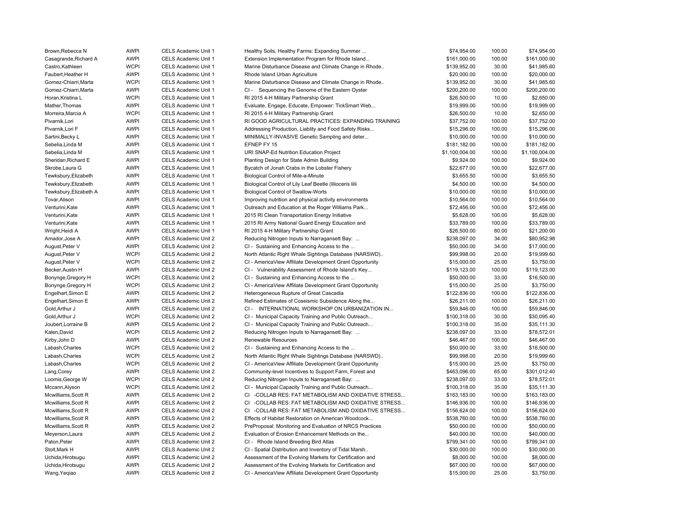| Brown, Rebecca N       | <b>AWPI</b> | CELS Academic Unit 1 | Healthy Soils, Healthy Farms: Expanding Summer                | \$74,954.00    | 100.00 | \$74,954.00    |
|------------------------|-------------|----------------------|---------------------------------------------------------------|----------------|--------|----------------|
| Casagrande, Richard A  | <b>AWPI</b> | CELS Academic Unit 1 | Extension Implementation Program for Rhode Island             | \$161,000.00   | 100.00 | \$161,000.00   |
| Castro, Kathleen       | <b>WCPI</b> | CELS Academic Unit 1 | Marine Disturbance Disease and Climate Change in Rhode        | \$139,952.00   | 30.00  | \$41,985.60    |
| Faubert, Heather H     | <b>AWPI</b> | CELS Academic Unit 1 | Rhode Island Urban Agriculture                                | \$20,000.00    | 100.00 | \$20,000.00    |
| Gomez-Chiarri, Marta   | <b>WCPI</b> | CELS Academic Unit 1 | Marine Disturbance Disease and Climate Change in Rhode        | \$139,952.00   | 30.00  | \$41,985.60    |
| Gomez-Chiarri.Marta    | <b>AWPI</b> | CELS Academic Unit 1 | CI - Sequencing the Genome of the Eastern Oyster              | \$200,200.00   | 100.00 | \$200,200.00   |
| Horan, Kristina L      | <b>WCPI</b> | CELS Academic Unit 1 | RI 2015 4-H Military Partnership Grant                        | \$26,500.00    | 10.00  | \$2,650.00     |
| Mather, Thomas         | <b>AWPI</b> | CELS Academic Unit 1 | Evaluate, Engage, Educate, Empower: TickSmart Web             | \$19,999.00    | 100.00 | \$19,999.00    |
| Morreira, Marcia A     | <b>WCPI</b> | CELS Academic Unit 1 | RI 2015 4-H Military Partnership Grant                        | \$26,500.00    | 10.00  | \$2,650.00     |
| Pivarnik, Lori         | <b>AWPI</b> | CELS Academic Unit 1 | RI GOOD AGRICULTURAL PRACTICES: EXPANDING TRAINING            | \$37,752.00    | 100.00 | \$37,752.00    |
| Pivarnik, Lori F       | <b>AWPI</b> | CELS Academic Unit 1 | Addressing Production, Liablity and Food Safety Risks         | \$15,296.00    | 100.00 | \$15,296.00    |
| Sartini, Becky L       | <b>AWPI</b> | CELS Academic Unit 1 | MINIMALLY-INVASIVE Genetic Sampling and deter                 | \$10,000.00    | 100.00 | \$10,000.00    |
| Sebelia, Linda M       | <b>AWPI</b> | CELS Academic Unit 1 | EFNEP FY 15                                                   | \$181,182.00   | 100.00 | \$181,182.00   |
| Sebelia, Linda M       | <b>AWPI</b> | CELS Academic Unit 1 | URI SNAP-Ed Nutrition Education Project                       | \$1,100,004.00 | 100.00 | \$1,100,004.00 |
| Sheridan, Richard E    | <b>AWPI</b> | CELS Academic Unit 1 | Planting Design for State Admin Building                      | \$9,924.00     | 100.00 | \$9,924.00     |
| Skrobe, Laura G        | <b>AWPI</b> | CELS Academic Unit 1 | Bycatch of Jonah Crabs in the Lobster Fishery                 | \$22,677.00    | 100.00 | \$22,677.00    |
| Tewksbury, Elizabeth   | <b>AWPI</b> | CELS Academic Unit 1 | Biological Control of Mile-a-Minute                           | \$3,655.50     | 100.00 | \$3,655.50     |
| Tewksbury, Elizabeth   | <b>AWPI</b> | CELS Academic Unit 1 | Biological Control of Lily Leaf Beetle (lilioceris lilii      | \$4,500.00     | 100.00 | \$4,500.00     |
| Tewksbury, Elizabeth A | <b>AWPI</b> | CELS Academic Unit 1 | <b>Biological Control of Swallow-Worts</b>                    | \$10,000.00    | 100.00 | \$10,000.00    |
| Tovar, Alison          | <b>AWPI</b> | CELS Academic Unit 1 | Improving nutrition and physical activity environments        | \$10,564.00    | 100.00 | \$10,564.00    |
| Venturini, Kate        | <b>AWPI</b> | CELS Academic Unit 1 | Outreach and Education at the Roger Williams Park             | \$72,456.00    | 100.00 | \$72,456.00    |
| Venturini, Kate        | <b>AWPI</b> | CELS Academic Unit 1 | 2015 RI Clean Transportation Energy Initiative                | \$5,628.00     | 100.00 | \$5,628.00     |
| Venturini, Kate        | <b>AWPI</b> | CELS Academic Unit 1 | 2015 RI Army National Guard Energy Education and              | \$33,789.00    | 100.00 | \$33,789.00    |
| Wright, Heidi A        | <b>AWPI</b> | CELS Academic Unit 1 | RI 2015 4-H Military Partnership Grant                        | \$26,500.00    | 80.00  | \$21,200.00    |
| Amador, Jose A         | <b>AWPI</b> | CELS Academic Unit 2 | Reducing Nitrogen Inputs to Narragansett Bay:                 | \$238,097.00   | 34.00  | \$80,952.98    |
| August, Peter V        | <b>AWPI</b> | CELS Academic Unit 2 | CI - Sustaining and Enhancing Access to the                   | \$50,000.00    | 34.00  | \$17,000.00    |
| August, Peter V        | <b>WCPI</b> | CELS Academic Unit 2 | North Atlantic Right Whale Sightings Database (NARSWD)        | \$99,998.00    | 20.00  | \$19,999.60    |
| August, Peter V        | <b>WCPI</b> | CELS Academic Unit 2 | CI - AmericaView Affiliate Development Grant Opportunity      | \$15,000.00    | 25.00  | \$3,750.00     |
| Becker, Austin H       | <b>AWPI</b> | CELS Academic Unit 2 | CI - Vulnerability Assessment of Rhode Island's Key           | \$119,123.00   | 100.00 | \$119,123.00   |
| Bonynge, Gregory H     | <b>WCPI</b> | CELS Academic Unit 2 | CI - Sustaining and Enhancing Access to the                   | \$50,000.00    | 33.00  | \$16,500.00    |
| Bonynge, Gregory H     | <b>WCPI</b> | CELS Academic Unit 2 | CI - AmericaView Affiliate Development Grant Opportunity      | \$15,000.00    | 25.00  | \$3,750.00     |
| Engelhart, Simon E     | <b>AWPI</b> | CELS Academic Unit 2 | Heterogeneous Rupture of Great Cascadia                       | \$122,836.00   | 100.00 | \$122,836.00   |
| Engelhart, Simon E     | <b>AWPI</b> | CELS Academic Unit 2 | Refined Estimates of Coseismic Subsidence Along the           | \$26,211.00    | 100.00 | \$26,211.00    |
| Gold, Arthur J         | <b>AWPI</b> | CELS Academic Unit 2 | CI-<br>INTERNATIONAL WORKSHOP ON URBANIZATION IN              | \$59,846.00    | 100.00 | \$59,846.00    |
| Gold, Arthur J         | <b>WCPI</b> | CELS Academic Unit 2 | CI - Municipal Capacity Training and Public Outreach          | \$100,318.00   | 30.00  | \$30,095.40    |
| Joubert, Lorraine B    | <b>AWPI</b> | CELS Academic Unit 2 | CI - Municipal Capacity Training and Public Outreach          | \$100,318.00   | 35.00  | \$35,111.30    |
| Kalen, David           | <b>WCPI</b> | CELS Academic Unit 2 | Reducing Nitrogen Inputs to Narragansett Bay:                 | \$238,097.00   | 33.00  | \$78,572.01    |
| Kirby, John D          | <b>AWPI</b> | CELS Academic Unit 2 | Renewable Resources                                           | \$46,467.00    | 100.00 | \$46,467.00    |
| Labash, Charles        | <b>WCPI</b> | CELS Academic Unit 2 | CI - Sustaining and Enhancing Access to the                   | \$50,000.00    | 33.00  | \$16,500.00    |
| Labash, Charles        | <b>WCPI</b> | CELS Academic Unit 2 | North Atlantic Right Whale Sightings Database (NARSWD)        | \$99,998.00    | 20.00  | \$19,999.60    |
| Labash, Charles        | <b>WCPI</b> | CELS Academic Unit 2 | CI - AmericaView Affiliate Development Grant Opportunity      | \$15,000.00    | 25.00  | \$3,750.00     |
| Lang, Corey            | <b>AWPI</b> | CELS Academic Unit 2 | Community-level Incentives to Support Farm, Forest and        | \$463,096.00   | 65.00  | \$301,012.40   |
| Loomis, George W       | <b>WCPI</b> | CELS Academic Unit 2 | Reducing Nitrogen Inputs to Narragansett Bay:                 | \$238,097.00   | 33.00  | \$78,572.01    |
| Mccann, Alyson         | <b>WCPI</b> | CELS Academic Unit 2 | CI - Municipal Capacity Training and Public Outreach          | \$100,318.00   | 35.00  | \$35,111.30    |
| Mcwilliams, Scott R    | <b>AWPI</b> | CELS Academic Unit 2 | <b>CI</b><br>-COLLAB RES: FAT METABOLISM AND OXIDATIVE STRESS | \$163,183.00   | 100.00 | \$163,183.00   |
| Mcwilliams, Scott R    | <b>AWPI</b> | CELS Academic Unit 2 | <b>CI</b><br>-COLLAB RES: FAT METABOLISM AND OXIDATIVE STRESS | \$146,936.00   | 100.00 | \$146,936.00   |
| Mcwilliams, Scott R    | <b>AWPI</b> | CELS Academic Unit 2 | CI -COLLAB RES: FAT METABOLISM AND OXIDATIVE STRESS           | \$156,624.00   | 100.00 | \$156,624.00   |
| Mcwilliams, Scott R    | <b>AWPI</b> | CELS Academic Unit 2 | Effects of Habitat Restoration on American Woodcock           | \$538,760.00   | 100.00 | \$538,760.00   |
| Mcwilliams, Scott R    | <b>AWPI</b> | CELS Academic Unit 2 | PreProposal: Monitoring and Evaluation of NRCS Practices      | \$50,000.00    | 100.00 | \$50,000.00    |
| Meyerson, Laura        | <b>AWPI</b> | CELS Academic Unit 2 | Evaluation of Erosion Enhancement Methods on the              | \$40,000.00    | 100.00 | \$40,000.00    |
| Paton, Peter           | <b>AWPI</b> | CELS Academic Unit 2 | CI - Rhode Island Breeding Bird Atlas                         | \$799,341.00   | 100.00 | \$799,341.00   |
| Stolt, Mark H          | <b>AWPI</b> | CELS Academic Unit 2 | CI - Spatial Distribution and Inventory of Tidal Marsh        | \$30,000.00    | 100.00 | \$30,000.00    |
| Uchida, Hirotsugu      | <b>AWPI</b> | CELS Academic Unit 2 | Assessment of the Evolving Markets for Certification and      | \$8,000.00     | 100.00 | \$8,000.00     |
| Uchida, Hirotsugu      | <b>AWPI</b> | CELS Academic Unit 2 | Assessment of the Evolving Markets for Certification and      | \$67,000.00    | 100.00 | \$67,000.00    |
| Wang, Yeqiao           | <b>AWPI</b> | CELS Academic Unit 2 | CI - AmericaView Affiliate Development Grant Opportunity      | \$15,000.00    | 25.00  | \$3,750.00     |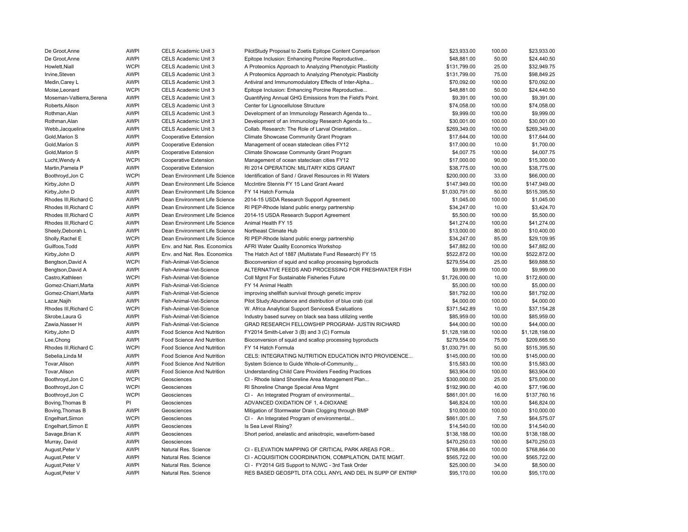| De Groot, Anne            | <b>AWPI</b> | CELS Academic Unit 3          | PilotStudy Proposal to Zoetis Epitope Content Comparison | \$23,933.00    | 100.00 | \$23,933.00    |
|---------------------------|-------------|-------------------------------|----------------------------------------------------------|----------------|--------|----------------|
| De Groot, Anne            | <b>AWPI</b> | CELS Academic Unit 3          | Epitope Inclusion: Enhancing Porcine Reproductive        | \$48,881.00    | 50.00  | \$24,440.50    |
| Howlett, Niall            | <b>WCPI</b> | CELS Academic Unit 3          | A Proteomics Approach to Analyzing Phenotypic Plasticity | \$131,799.00   | 25.00  | \$32,949.75    |
| Irvine, Steven            | <b>AWPI</b> | CELS Academic Unit 3          | A Proteomics Approach to Analyzing Phenotypic Plasticity | \$131,799.00   | 75.00  | \$98,849.25    |
| Medin, Carey L            | <b>AWPI</b> | CELS Academic Unit 3          | Antiviral and Immunomodulatory Effects of Inter-Alpha    | \$70,092.00    | 100.00 | \$70,092.00    |
| Moise, Leonard            | <b>WCPI</b> | CELS Academic Unit 3          | Epitope Inclusion: Enhancing Porcine Reproductive        | \$48,881.00    | 50.00  | \$24,440.50    |
| Moseman-Valtierra, Serena | <b>AWPI</b> | CELS Academic Unit 3          | Quantifying Annual GHG Emissions from the Field's Point. | \$9,391.00     | 100.00 | \$9,391.00     |
| Roberts, Alison           | <b>AWPI</b> | CELS Academic Unit 3          | Center for Lignocellulose Structure                      | \$74,058.00    | 100.00 | \$74,058.00    |
| Rothman, Alan             | <b>AWPI</b> | CELS Academic Unit 3          | Development of an Immunology Research Agenda to          | \$9,999.00     | 100.00 | \$9,999.00     |
| Rothman, Alan             | <b>AWPI</b> | CELS Academic Unit 3          | Development of an Immunology Research Agenda to          | \$30,001.00    | 100.00 | \$30,001.00    |
| Webb, Jacqueline          | <b>AWPI</b> | CELS Academic Unit 3          | Collab. Research: The Role of Larval Orientation         | \$269,349.00   | 100.00 | \$269,349.00   |
| Gold, Marion S            | <b>AWPI</b> | Cooperative Extension         | Climate Showcase Community Grant Program                 | \$17,644.00    | 100.00 | \$17,644.00    |
| Gold, Marion S            | <b>AWPI</b> | Cooperative Extension         | Management of ocean stateclean cities FY12               | \$17,000.00    | 10.00  | \$1,700.00     |
| Gold, Marion S            | <b>AWPI</b> | Cooperative Extension         | Climate Showcase Community Grant Program                 | \$4,007.75     | 100.00 | \$4,007.75     |
| Lucht, Wendy A            | <b>WCPI</b> | Cooperative Extension         | Management of ocean stateclean cities FY12               | \$17,000.00    | 90.00  | \$15,300.00    |
| Martin, Pamela P          | <b>AWPI</b> | <b>Cooperative Extension</b>  | RI 2014 OPERATION: MILITARY KIDS GRANT                   | \$38,775.00    | 100.00 | \$38,775.00    |
| Boothroyd, Jon C          | <b>WCPI</b> | Dean Environment Life Science | Identification of Sand / Gravel Resources in RI Waters   | \$200,000.00   | 33.00  | \$66,000.00    |
| Kirby, John D             | <b>AWPI</b> | Dean Environment Life Science | MccIntire Stennis FY 15 Land Grant Award                 | \$147,949.00   | 100.00 | \$147,949.00   |
| Kirby, John D             | <b>AWPI</b> | Dean Environment Life Science | FY 14 Hatch Formula                                      | \$1,030,791.00 | 50.00  | \$515,395.50   |
| Rhodes III, Richard C     | <b>AWPI</b> | Dean Environment Life Science | 2014-15 USDA Research Support Agreement                  | \$1,045.00     | 100.00 | \$1,045.00     |
| Rhodes III, Richard C     | <b>AWPI</b> | Dean Environment Life Science | RI PEP-Rhode Island public energy partnership            | \$34,247.00    | 10.00  | \$3,424.70     |
| Rhodes III, Richard C     | <b>AWPI</b> | Dean Environment Life Science | 2014-15 USDA Research Support Agreement                  | \$5,500.00     | 100.00 | \$5,500.00     |
| Rhodes III, Richard C     | <b>AWPI</b> | Dean Environment Life Science | Animal Health FY 15                                      | \$41,274.00    | 100.00 | \$41,274.00    |
| Sheely, Deborah L         | <b>AWPI</b> | Dean Environment Life Science | Northeast Climate Hub                                    | \$13,000.00    | 80.00  | \$10,400.00    |
| Sholly, Rachel E          | <b>WCPI</b> | Dean Environment Life Science | RI PEP-Rhode Island public energy partnership            | \$34,247.00    | 85.00  | \$29,109.95    |
| Guilfoos, Todd            | <b>AWPI</b> |                               |                                                          | \$47,882.00    | 100.00 | \$47,882.00    |
|                           | <b>AWPI</b> | Env. and Nat. Res. Economics  | AFRI Water Quality Economics Workshop                    |                |        | \$522,872.00   |
| Kirby, John D             |             | Env. and Nat. Res. Economics  | The Hatch Act of 1887 (Multistate Fund Research) FY 15   | \$522,872.00   | 100.00 |                |
| Bengtson, David A         | <b>WCPI</b> | Fish-Animal-Vet-Science       | Bioconversion of squid and scallop processing byproducts | \$279,554.00   | 25.00  | \$69,888.50    |
| Bengtson, David A         | <b>AWPI</b> | Fish-Animal-Vet-Science       | ALTERNATIVE FEEDS AND PROCESSING FOR FRESHWATER FISH     | \$9,999.00     | 100.00 | \$9,999.00     |
| Castro, Kathleen          | <b>WCPI</b> | Fish-Animal-Vet-Science       | Coll Mgmt For Sustainable Fisheries Future               | \$1,726,000.00 | 10.00  | \$172,600.00   |
| Gomez-Chiarri, Marta      | <b>AWPI</b> | Fish-Animal-Vet-Science       | FY 14 Animal Health                                      | \$5,000.00     | 100.00 | \$5,000.00     |
| Gomez-Chiarri, Marta      | <b>AWPI</b> | Fish-Animal-Vet-Science       | improving shellfish survival through genetic improv      | \$81,792.00    | 100.00 | \$81,792.00    |
| Lazar, Najih              | <b>AWPI</b> | Fish-Animal-Vet-Science       | Pilot Study:Abundance and distribution of blue crab (cal | \$4,000.00     | 100.00 | \$4,000.00     |
| Rhodes III, Richard C     | <b>WCPI</b> | Fish-Animal-Vet-Science       | W. Africa Analytical Support Services& Evaluations       | \$371,542.89   | 10.00  | \$37,154.28    |
| Skrobe, Laura G           | <b>AWPI</b> | Fish-Animal-Vet-Science       | Industry based survey on black sea bass utilizing ventle | \$85,959.00    | 100.00 | \$85,959.00    |
| Zawia, Nasser H           | <b>AWPI</b> | Fish-Animal-Vet-Science       | GRAD RESEARCH FELLOWSHIP PROGRAM- JUSTIN RICHARD         | \$44,000.00    | 100.00 | \$44,000.00    |
| Kirby, John D             | <b>AWPI</b> | Food Science And Nutrition    | FY2014 Smith-Lelver 3 (B) and 3 (C) Formula              | \$1,128,198.00 | 100.00 | \$1,128,198.00 |
| Lee, Chong                | <b>AWPI</b> | Food Science And Nutrition    | Bioconversion of squid and scallop processing byproducts | \$279,554.00   | 75.00  | \$209,665.50   |
| Rhodes III, Richard C     | <b>WCPI</b> | Food Science And Nutrition    | FY 14 Hatch Formula                                      | \$1,030,791.00 | 50.00  | \$515,395.50   |
| Sebelia, Linda M          | <b>AWPI</b> | Food Science And Nutrition    | CELS: INTEGRATING NUTRITION EDUCATION INTO PROVIDENCE    | \$145,000.00   | 100.00 | \$145,000.00   |
| Tovar, Alison             | <b>AWPI</b> | Food Science And Nutrition    | System Science to Guide Whole-of-Community               | \$15,583.00    | 100.00 | \$15,583.00    |
| Tovar, Alison             | <b>AWPI</b> | Food Science And Nutrition    | Understanding Child Care Providers Feeding Practices     | \$63,904.00    | 100.00 | \$63,904.00    |
| Boothroyd, Jon C          | <b>WCPI</b> | Geosciences                   | CI - Rhode Island Shoreline Area Management Plan         | \$300,000.00   | 25.00  | \$75,000.00    |
| Boothroyd, Jon C          | <b>WCPI</b> | Geosciences                   | RI Shoreline Change Special Area Mgmt                    | \$192,990.00   | 40.00  | \$77,196.00    |
| Boothroyd, Jon C          | <b>WCPI</b> | Geosciences                   | CI - An Integrated Program of environmental              | \$861,001.00   | 16.00  | \$137,760.16   |
| Boving, Thomas B          | PI          | Geosciences                   | ADVANCED OXIDATION OF 1, 4-DIOXANE                       | \$46,824.00    | 100.00 | \$46,824.00    |
| Boving, Thomas B          | <b>AWPI</b> | Geosciences                   | Mitigation of Stormwater Drain Clogging through BMP      | \$10,000.00    | 100.00 | \$10,000.00    |
| Engelhart, Simon          | <b>WCPI</b> | Geosciences                   | CI - An Integrated Program of environmental              | \$861,001.00   | 7.50   | \$64,575.07    |
| Engelhart, Simon E        | <b>AWPI</b> | Geosciences                   | Is Sea Level Rising?                                     | \$14,540.00    | 100.00 | \$14,540.00    |
| Savage, Brian K           | <b>AWPI</b> | Geosciences                   | Short period, anelastic and anisotropic, waveform-based  | \$138,188.00   | 100.00 | \$138,188.00   |
| Murray, David             | <b>AWPI</b> | Geosciences                   |                                                          | \$470,250.03   | 100.00 | \$470,250.03   |
| August, Peter V           | <b>AWPI</b> | Natural Res. Science          | CI - ELEVATION MAPPING OF CRITICAL PARK AREAS FOR        | \$768,864.00   | 100.00 | \$768,864.00   |
| August, Peter V           | <b>AWPI</b> | Natural Res. Science          | CI - ACQUISITION COORDINATION, COMPILATION, DATE MGMT.   | \$565,722.00   | 100.00 | \$565,722.00   |
| August, Peter V           | <b>AWPI</b> | Natural Res. Science          | CI - FY2014 GIS Support to NUWC - 3rd Task Order         | \$25,000.00    | 34.00  | \$8,500.00     |
| August, Peter V           | <b>AWPI</b> | Natural Res. Science          | RES BASED GEOSPTL DTA COLL ANYL AND DEL IN SUPP OF ENTRP | \$95,170.00    | 100.00 | \$95,170.00    |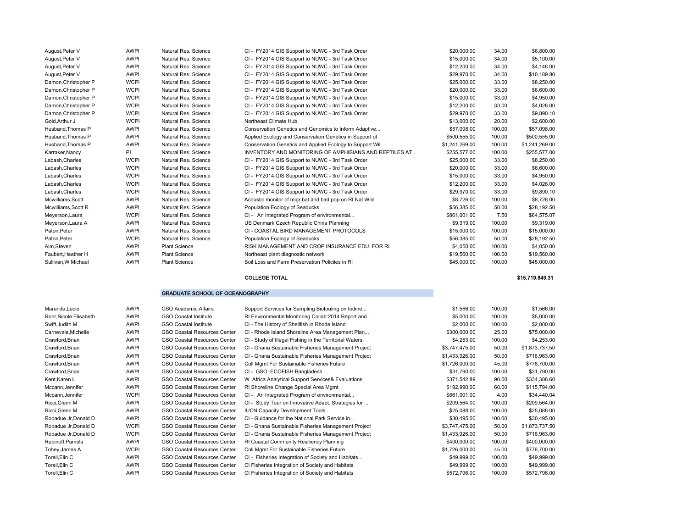| August, Peter V      | <b>AWPI</b> | Natural Res. Science | CI - FY2014 GIS Support to NUWC - 3rd Task Order         | \$20,000.00    | 34.00  | \$6,800.00     |
|----------------------|-------------|----------------------|----------------------------------------------------------|----------------|--------|----------------|
| August, Peter V      | <b>AWPI</b> | Natural Res. Science | CI - FY2014 GIS Support to NUWC - 3rd Task Order         | \$15,000.00    | 34.00  | \$5,100.00     |
| August, Peter V      | <b>AWPI</b> | Natural Res. Science | CI - FY2014 GIS Support to NUWC - 3rd Task Order         | \$12,200.00    | 34.00  | \$4,148.00     |
| August, Peter V      | <b>AWPI</b> | Natural Res. Science | CI - FY2014 GIS Support to NUWC - 3rd Task Order         | \$29.970.00    | 34.00  | \$10,189.80    |
| Damon, Christopher P | <b>WCPI</b> | Natural Res. Science | CI - FY2014 GIS Support to NUWC - 3rd Task Order         | \$25,000.00    | 33.00  | \$8,250.00     |
| Damon, Christopher P | <b>WCPI</b> | Natural Res. Science | CI - FY2014 GIS Support to NUWC - 3rd Task Order         | \$20,000.00    | 33.00  | \$6,600.00     |
| Damon, Christopher P | <b>WCPI</b> | Natural Res. Science | CI - FY2014 GIS Support to NUWC - 3rd Task Order         | \$15,000.00    | 33.00  | \$4,950.00     |
| Damon, Christopher P | <b>WCPI</b> | Natural Res. Science | CI - FY2014 GIS Support to NUWC - 3rd Task Order         | \$12,200.00    | 33.00  | \$4,026.00     |
| Damon, Christopher P | <b>WCPI</b> | Natural Res. Science | CI - FY2014 GIS Support to NUWC - 3rd Task Order         | \$29,970.00    | 33.00  | \$9,890.10     |
| Gold, Arthur J       | <b>WCPI</b> | Natural Res. Science | Northeast Climate Hub                                    | \$13,000.00    | 20.00  | \$2,600.00     |
| Husband, Thomas P    | <b>AWPI</b> | Natural Res. Science | Conservation Genetics and Genomics to Inform Adaptive    | \$57,098.00    | 100.00 | \$57,098.00    |
| Husband, Thomas P    | <b>AWPI</b> | Natural Res. Science | Applied Ecology and Conservation Genetics in Support of  | \$500,555.00   | 100.00 | \$500,555.00   |
| Husband, Thomas P    | <b>AWPI</b> | Natural Res. Science | Conservation Genetics and Applied Ecology to Support Wil | \$1,241,269.00 | 100.00 | \$1,241,269.00 |
| Karraker, Nancy      | <b>PI</b>   | Natural Res. Science | INVENTORY AND MONITORING OF AMPHIBIANS AND REPTILES AT   | \$255,577.00   | 100.00 | \$255,577.00   |
| Labash, Charles      | <b>WCPI</b> | Natural Res. Science | CI - FY2014 GIS Support to NUWC - 3rd Task Order         | \$25,000.00    | 33.00  | \$8,250.00     |
| Labash, Charles      | <b>WCPI</b> | Natural Res. Science | CI - FY2014 GIS Support to NUWC - 3rd Task Order         | \$20,000.00    | 33.00  | \$6,600.00     |
| Labash, Charles      | <b>WCPI</b> | Natural Res. Science | CI - FY2014 GIS Support to NUWC - 3rd Task Order         | \$15,000.00    | 33.00  | \$4,950.00     |
| Labash, Charles      | <b>WCPI</b> | Natural Res. Science | CI - FY2014 GIS Support to NUWC - 3rd Task Order         | \$12,200.00    | 33.00  | \$4,026.00     |
| Labash, Charles      | <b>WCPI</b> | Natural Res. Science | CI - FY2014 GIS Support to NUWC - 3rd Task Order         | \$29,970.00    | 33.00  | \$9,890.10     |
| Mcwilliams, Scott    | AWPI        | Natural Res. Science | Acoustic monitor of migr bat and bird pop on RI Nat Wild | \$8,726.00     | 100.00 | \$8,726.00     |
| Mcwilliams, Scott R  | <b>AWPI</b> | Natural Res. Science | Population Ecology of Seaducks                           | \$56,385,00    | 50.00  | \$28,192.50    |
| Meyerson, Laura      | <b>WCPI</b> | Natural Res. Science | CI - An Integrated Program of environmental              | \$861,001.00   | 7.50   | \$64,575.07    |
| Meyerson, Laura A    | AWPI        | Natural Res. Science | US Denmark Czech Republic China Planning                 | \$9,319.00     | 100.00 | \$9,319.00     |
| Paton, Peter         | <b>AWPI</b> | Natural Res. Science | CI - COASTAL BIRD MANAGEMENT PROTOCOLS                   | \$15,000.00    | 100.00 | \$15,000.00    |
| Paton, Peter         | <b>WCPI</b> | Natural Res. Science | Population Ecology of Seaducks                           | \$56,385.00    | 50.00  | \$28,192.50    |
| Alm,Steven           | AWPI        | <b>Plant Science</b> | RISK MANAGEMENT AND CROP INSURANCE EDU. FOR RI           | \$4,050.00     | 100.00 | \$4,050.00     |
| Faubert, Heather H   | <b>AWPI</b> | <b>Plant Science</b> | Northeast plant diagnostic network                       | \$19,560.00    | 100.00 | \$19,560.00    |
| Sullivan, W Michael  | <b>AWPI</b> | <b>Plant Science</b> | Soil Loss and Farm Preservation Policijes in RI          | \$45,000.00    | 100.00 | \$45,000.00    |

#### COLLEGE TOTAL

#### GRADUATE SCHOOL OF OCEANOGRAPHY

| Maranda, Lucie         | AWPI        | <b>GSO Academic Affairs</b>         | Support Services for Sampling Biofouling on Iodine       | \$1,566.00     | 100.00 | \$1,566.00     |
|------------------------|-------------|-------------------------------------|----------------------------------------------------------|----------------|--------|----------------|
| Rohr, Nicole Elisabeth | AWPI        | <b>GSO Coastal Institute</b>        | RI Environmental Monitoring Collab:2014 Report and       | \$5,000.00     | 100.00 | \$5,000.00     |
| Swift, Judith M        | <b>AWPI</b> | <b>GSO Coastal Institute</b>        | CI - The History of Shellfish in Rhode Island            | \$2,000.00     | 100.00 | \$2,000.00     |
| Carnevale, Michelle    | <b>AWPI</b> | GSO Coastal Resources Center        | CI - Rhode Island Shoreline Area Management Plan         | \$300,000.00   | 25.00  | \$75,000.00    |
| Crawford, Brian        | AWPI        | GSO Coastal Resources Center        | CI - Study of Illegal Fishing in the Territorial Waters. | \$4,253.00     | 100.00 | \$4,253.00     |
| Crawford, Brian        | AWPI        | GSO Coastal Resources Center        | CI - Ghana Sustainable Fisheries Management Project      | \$3,747,475.00 | 50.00  | \$1,873,737.50 |
| Crawford, Brian        | AWPI        | <b>GSO Coastal Resources Center</b> | CI - Ghana Sustainable Fisheries Management Project      | \$1,433,926.00 | 50.00  | \$716,963.00   |
| Crawford, Brian        | AWPI        | GSO Coastal Resources Center        | Coll Mgmt For Sustainable Fisheries Future               | \$1,726,000.00 | 45.00  | \$776,700.00   |
| Crawford, Brian        | AWPI        | GSO Coastal Resources Center        | CI - GSO: ECOFISH Bangladesh                             | \$31,790.00    | 100.00 | \$31,790.00    |
| Kent, Karen L          | <b>AWPI</b> | GSO Coastal Resources Center        | W. Africa Analytical Support Services& Evaluations       | \$371,542.89   | 90.00  | \$334,388.60   |
| Mccann, Jennifer       | AWPI        | <b>GSO Coastal Resources Center</b> | RI Shoreline Change Special Area Mgmt                    | \$192,990.00   | 60.00  | \$115,794.00   |
| Mccann, Jennifer       | <b>WCPI</b> | GSO Coastal Resources Center        | CI - An Integrated Program of environmental              | \$861,001.00   | 4.00   | \$34,440.04    |
| Ricci, Glenn M         | AWPI        | GSO Coastal Resources Center        | CI - Study Tour on Innovative Adapt. Strategies for      | \$209,564.00   | 100.00 | \$209,564.00   |
| Ricci, Glenn M         | AWPI        | GSO Coastal Resources Center        | <b>IUCN Capacity Development Tools</b>                   | \$25,088.00    | 100.00 | \$25,088.00    |
| Robadue Jr, Donald D   | AWPI        | <b>GSO Coastal Resources Center</b> | CI - Guidance for the National Park Service in           | \$30,495.00    | 100.00 | \$30,495.00    |
| Robadue Jr, Donald D   | <b>WCPI</b> | GSO Coastal Resources Center        | CI - Ghana Sustainable Fisheries Management Project      | \$3,747,475.00 | 50.00  | \$1,873,737.50 |
| Robadue Jr, Donald D   | <b>WCPI</b> | <b>GSO Coastal Resources Center</b> | CI - Ghana Sustainable Fisheries Management Project      | \$1,433,926.00 | 50.00  | \$716,963.00   |
| Rubinoff, Pamela       | <b>AWPI</b> | <b>GSO Coastal Resources Center</b> | RI Coastal Community Resiliency Planning                 | \$400,000.00   | 100.00 | \$400,000.00   |
| Tobey, James A         | <b>WCPI</b> | GSO Coastal Resources Center        | Coll Mgmt For Sustainable Fisheries Future               | \$1,726,000.00 | 45.00  | \$776,700.00   |
| Torell, Elin C         | <b>AWPI</b> | <b>GSO Coastal Resources Center</b> | CI - Fisheries Integration of Society and Habitats       | \$49,999.00    | 100.00 | \$49,999.00    |
| Torell, Elin C         | AWPI        | GSO Coastal Resources Center        | CI Fisheries Integration of Society and Habitats         | \$49,999.00    | 100.00 | \$49,999.00    |
| Torell, Elin C         | AWPI        | <b>GSO Coastal Resources Center</b> | CI Fisheries Integration of Society and Habitats         | \$572,796.00   | 100.00 | \$572,796.00   |

\$15,719,849.31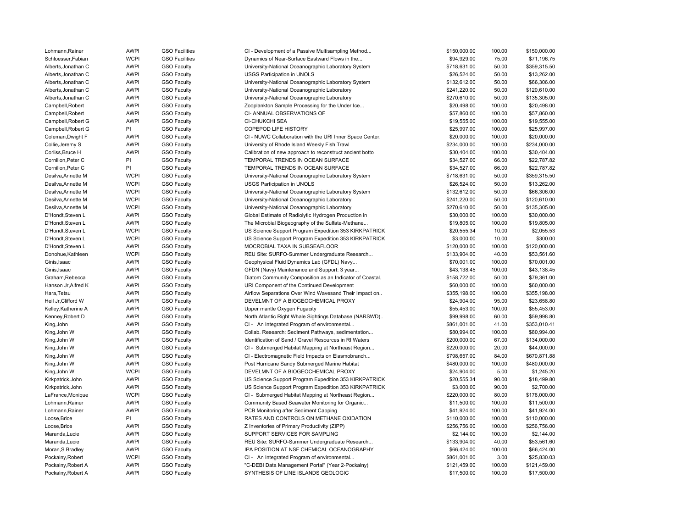| Lohmann, Rainer     | <b>AWPI</b> | <b>GSO Facilities</b> | CI - Development of a Passive Multisampling Method       | \$150,000.00 | 100.00 | \$150,000.00 |
|---------------------|-------------|-----------------------|----------------------------------------------------------|--------------|--------|--------------|
| Schloesser, Fabian  | <b>WCPI</b> | <b>GSO Facilities</b> | Dynamics of Near-Surface Eastward Flows in the           | \$94,929.00  | 75.00  | \$71,196.75  |
| Alberts, Jonathan C | <b>AWPI</b> | <b>GSO Faculty</b>    | University-National Oceanographic Laboratory System      | \$718,631.00 | 50.00  | \$359,315.50 |
| Alberts, Jonathan C | <b>AWPI</b> | <b>GSO Faculty</b>    | <b>USGS Participation in UNOLS</b>                       | \$26,524.00  | 50.00  | \$13,262.00  |
| Alberts, Jonathan C | <b>AWPI</b> | <b>GSO Faculty</b>    | University-National Oceanographic Laboratory System      | \$132,612.00 | 50.00  | \$66,306.00  |
| Alberts, Jonathan C | <b>AWPI</b> | <b>GSO Faculty</b>    | University-National Oceanographic Laboratory             | \$241,220.00 | 50.00  | \$120,610.00 |
| Alberts, Jonathan C | <b>AWPI</b> | <b>GSO Faculty</b>    | University-National Oceanographic Laboratory             | \$270,610.00 | 50.00  | \$135,305.00 |
| Campbell, Robert    | <b>AWPI</b> | <b>GSO Faculty</b>    | Zooplankton Sample Processing for the Under Ice          | \$20,498.00  | 100.00 | \$20,498.00  |
| Campbell, Robert    | <b>AWPI</b> | <b>GSO Faculty</b>    | CI-ANNUAL OBSERVATIONS OF                                | \$57,860.00  | 100.00 | \$57,860.00  |
| Campbell, Robert G  | <b>AWPI</b> | <b>GSO Faculty</b>    | CI-CHUKCHI SEA                                           | \$19,555.00  | 100.00 | \$19,555.00  |
| Campbell, Robert G  | PI          | <b>GSO Faculty</b>    | COPEPOD LIFE HISTORY                                     | \$25,997.00  | 100.00 | \$25,997.00  |
| Coleman, Dwight F   | <b>AWPI</b> | <b>GSO Faculty</b>    | CI - NUWC Collaboration with the URI Inner Space Center. | \$20,000.00  | 100.00 | \$20,000.00  |
| Collie, Jeremy S    | <b>AWPI</b> | <b>GSO Faculty</b>    | University of Rhode Island Weekly Fish Trawl             | \$234,000.00 | 100.00 | \$234,000.00 |
| Corliss, Bruce H    | <b>AWPI</b> | <b>GSO Faculty</b>    | Calibration of new approach to reconstruct ancient botto | \$30,404.00  | 100.00 | \$30,404.00  |
| Cornillon, Peter C  | PI          | <b>GSO Faculty</b>    | TEMPORAL TRENDS IN OCEAN SURFACE                         | \$34,527.00  | 66.00  | \$22,787.82  |
| Cornillon, Peter C  | PI          | <b>GSO Faculty</b>    | TEMPORAL TRENDS IN OCEAN SURFACE                         | \$34,527.00  | 66.00  | \$22,787.82  |
| Desilva, Annette M  | <b>WCPI</b> | <b>GSO Faculty</b>    | University-National Oceanographic Laboratory System      | \$718,631.00 | 50.00  | \$359,315.50 |
| Desilva, Annette M  | <b>WCPI</b> | <b>GSO Faculty</b>    | USGS Participation in UNOLS                              | \$26,524.00  | 50.00  | \$13,262.00  |
| Desilva, Annette M  | <b>WCPI</b> | <b>GSO Faculty</b>    | University-National Oceanographic Laboratory System      | \$132,612.00 | 50.00  | \$66,306.00  |
| Desilva, Annette M  | <b>WCPI</b> | <b>GSO Faculty</b>    | University-National Oceanographic Laboratory             | \$241,220.00 | 50.00  | \$120,610.00 |
| Desilva, Annette M  | <b>WCPI</b> | <b>GSO Faculty</b>    | University-National Oceanographic Laboratory             | \$270,610.00 | 50.00  | \$135,305.00 |
| D'Hondt, Steven L   | <b>AWPI</b> | <b>GSO Faculty</b>    | Global Estimate of Radiolytic Hydrogen Production in     | \$30,000.00  | 100.00 | \$30,000.00  |
| D'Hondt, Steven L   | <b>AWPI</b> | <b>GSO Faculty</b>    | The Microbial Biogeography of the Sulfate-Methane        | \$19,805.00  | 100.00 | \$19,805.00  |
| D'Hondt, Steven L   | <b>WCPI</b> |                       | US Science Support Program Expedition 353 KIRKPATRICK    | \$20,555.34  | 10.00  | \$2,055.53   |
|                     | <b>WCPI</b> | <b>GSO Faculty</b>    |                                                          |              |        |              |
| D'Hondt, Steven L   |             | <b>GSO Faculty</b>    | US Science Support Program Expedition 353 KIRKPATRICK    | \$3,000.00   | 10.00  | \$300.00     |
| D'Hondt, Steven L   | <b>AWPI</b> | <b>GSO Faculty</b>    | MOCROBIAL TAXA IN SUBSEAFLOOR                            | \$120,000.00 | 100.00 | \$120,000.00 |
| Donohue, Kathleen   | <b>WCPI</b> | <b>GSO Faculty</b>    | REU Site: SURFO-Summer Undergraduate Research            | \$133,904.00 | 40.00  | \$53,561.60  |
| Ginis, Isaac        | <b>AWPI</b> | <b>GSO Faculty</b>    | Geophysical Fluid Dynamics Lab (GFDL) Navy               | \$70,001.00  | 100.00 | \$70,001.00  |
| Ginis, Isaac        | <b>AWPI</b> | <b>GSO Faculty</b>    | GFDN (Navy) Maintenance and Support: 3 year              | \$43,138.45  | 100.00 | \$43,138.45  |
| Graham, Rebecca     | <b>AWPI</b> | <b>GSO Faculty</b>    | Diatom Community Composition as an Indicator of Coastal. | \$158,722.00 | 50.00  | \$79,361.00  |
| Hanson Jr, Alfred K | <b>AWPI</b> | <b>GSO Faculty</b>    | URI Component of the Continued Development               | \$60,000.00  | 100.00 | \$60,000.00  |
| Hara, Tetsu         | <b>AWPI</b> | <b>GSO Faculty</b>    | Airflow Separations Over Wind Wavesand Their Impact on   | \$355,198.00 | 100.00 | \$355,198.00 |
| Heil Jr, Clifford W | <b>AWPI</b> | <b>GSO Faculty</b>    | DEVELMNT OF A BIOGEOCHEMICAL PROXY                       | \$24,904.00  | 95.00  | \$23,658.80  |
| Kelley, Katherine A | <b>AWPI</b> | <b>GSO Faculty</b>    | Upper mantle Oxygen Fugacity                             | \$55,453.00  | 100.00 | \$55,453.00  |
| Kenney, Robert D    | <b>AWPI</b> | <b>GSO Faculty</b>    | North Atlantic Right Whale Sightings Database (NARSWD)   | \$99,998.00  | 60.00  | \$59,998.80  |
| King, John          | <b>AWPI</b> | <b>GSO Faculty</b>    | CI - An Integrated Program of environmental              | \$861,001.00 | 41.00  | \$353,010.41 |
| King, John W        | <b>AWPI</b> | <b>GSO Faculty</b>    | Collab. Research: Sediment Pathways, sedimentation       | \$80,994.00  | 100.00 | \$80,994.00  |
| King, John W        | <b>AWPI</b> | <b>GSO Faculty</b>    | Identification of Sand / Gravel Resources in RI Waters   | \$200,000.00 | 67.00  | \$134,000.00 |
| King, John W        | <b>AWPI</b> | <b>GSO Faculty</b>    | CI - Submerged Habitat Mapping at Northeast Region       | \$220,000.00 | 20.00  | \$44,000.00  |
| King, John W        | <b>AWPI</b> | <b>GSO Faculty</b>    | CI - Electromagnetic Field Impacts on Elasmobranch       | \$798,657.00 | 84.00  | \$670,871.88 |
| King, John W        | <b>AWPI</b> | <b>GSO Faculty</b>    | Post Hurricane Sandy Submerged Marine Habitat            | \$480,000.00 | 100.00 | \$480,000.00 |
| King, John W        | <b>WCPI</b> | <b>GSO Faculty</b>    | DEVELMNT OF A BIOGEOCHEMICAL PROXY                       | \$24,904.00  | 5.00   | \$1,245.20   |
| Kirkpatrick, John   | <b>AWPI</b> | <b>GSO Faculty</b>    | US Science Support Program Expedition 353 KIRKPATRICK    | \$20,555.34  | 90.00  | \$18,499.80  |
| Kirkpatrick, John   | <b>AWPI</b> | <b>GSO Faculty</b>    | US Science Support Program Expedition 353 KIRKPATRICK    | \$3,000.00   | 90.00  | \$2,700.00   |
| LaFrance, Monique   | <b>WCPI</b> | <b>GSO Faculty</b>    | CI - Submerged Habitat Mapping at Northeast Region       | \$220,000.00 | 80.00  | \$176,000.00 |
| Lohmann, Rainer     | <b>AWPI</b> | <b>GSO Faculty</b>    | Community Based Seawater Monitoring for Organic          | \$11,500.00  | 100.00 | \$11,500.00  |
| Lohmann, Rainer     | <b>AWPI</b> | <b>GSO Faculty</b>    | PCB Monitoring after Sediment Capping                    | \$41,924.00  | 100.00 | \$41,924.00  |
| Loose, Brice        | PI          | <b>GSO Faculty</b>    | RATES AND CONTROLS ON METHANE OXIDATION                  | \$110,000.00 | 100.00 | \$110,000.00 |
| Loose, Brice        | <b>AWPI</b> | <b>GSO Faculty</b>    | Z Inventories of Primary Productivity (ZIPP)             | \$256,756.00 | 100.00 | \$256,756.00 |
| Maranda, Lucie      | <b>AWPI</b> | <b>GSO Faculty</b>    | SUPPORT SERVICES FOR SAMPLING                            | \$2,144.00   | 100.00 | \$2,144.00   |
| Maranda, Lucie      | <b>AWPI</b> | <b>GSO Faculty</b>    | REU Site: SURFO-Summer Undergraduate Research            | \$133,904.00 | 40.00  | \$53,561.60  |
| Moran, S Bradley    | <b>AWPI</b> | <b>GSO Faculty</b>    | IPA POSITION AT NSF CHEMICAL OCEANOGRAPHY                | \$66,424.00  | 100.00 | \$66,424.00  |
| Pockalny, Robert    | <b>WCPI</b> | <b>GSO Faculty</b>    | CI - An Integrated Program of environmental              | \$861,001.00 | 3.00   | \$25,830.03  |
| Pockalny, Robert A  | <b>AWPI</b> | <b>GSO Faculty</b>    | "C-DEBI Data Management Portal" (Year 2-Pockalny)        | \$121,459.00 | 100.00 | \$121,459.00 |
| Pockalny, Robert A  | <b>AWPI</b> | <b>GSO Faculty</b>    | SYNTHESIS OF LINE ISLANDS GEOLOGIC                       | \$17,500.00  | 100.00 | \$17,500.00  |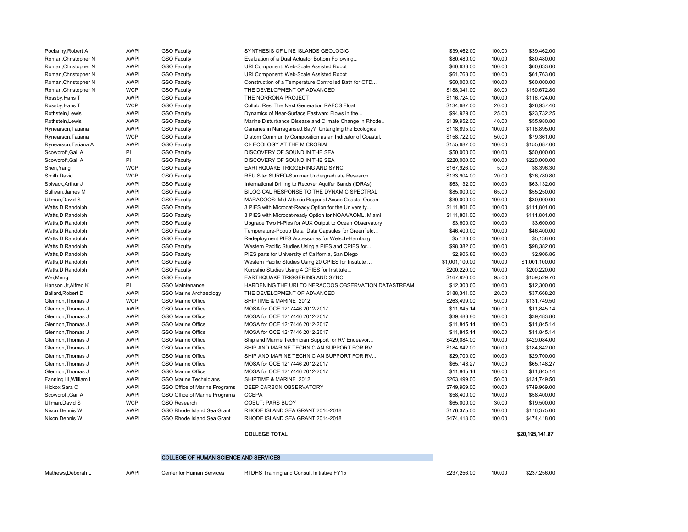| Pockalny, Robert A     | <b>AWPI</b> | <b>GSO Faculty</b>            | SYNTHESIS OF LINE ISLANDS GEOLOGIC                       | \$39,462.00    | 100.00 | \$39,462.00    |
|------------------------|-------------|-------------------------------|----------------------------------------------------------|----------------|--------|----------------|
| Roman, Christopher N   | <b>AWPI</b> | <b>GSO Faculty</b>            | Evaluation of a Dual Actuator Bottom Following           | \$80,480.00    | 100.00 | \$80,480.00    |
| Roman, Christopher N   | <b>AWPI</b> | <b>GSO Faculty</b>            | URI Component: Web-Scale Assisted Robot                  | \$60,633.00    | 100.00 | \$60,633.00    |
| Roman, Christopher N   | <b>AWPI</b> | <b>GSO Faculty</b>            | URI Component: Web-Scale Assisted Robot                  | \$61,763.00    | 100.00 | \$61,763.00    |
| Roman, Christopher N   | <b>AWPI</b> | <b>GSO Faculty</b>            | Construction of a Temperature Controlled Bath for CTD    | \$60,000.00    | 100.00 | \$60,000.00    |
| Roman, Christopher N   | <b>WCPI</b> | <b>GSO Faculty</b>            | THE DEVELOPMENT OF ADVANCED                              | \$188,341.00   | 80.00  | \$150,672.80   |
| Rossby, Hans T         | <b>AWPI</b> | <b>GSO Faculty</b>            | THE NORRONA PROJECT                                      | \$116,724.00   | 100.00 | \$116,724.00   |
| Rossby, Hans T         | <b>WCPI</b> | <b>GSO Faculty</b>            | Collab, Res: The Next Generation RAFOS Float             | \$134,687.00   | 20.00  | \$26,937.40    |
| Rothstein, Lewis       | <b>AWPI</b> | <b>GSO Faculty</b>            | Dynamics of Near-Surface Eastward Flows in the           | \$94,929.00    | 25.00  | \$23,732.25    |
| Rothstein, Lewis       | <b>AWPI</b> | <b>GSO Faculty</b>            | Marine Disturbance Disease and Climate Change in Rhode   | \$139,952.00   | 40.00  | \$55,980.80    |
| Rynearson, Tatiana     | <b>AWPI</b> | <b>GSO Faculty</b>            | Canaries in Narragansett Bay? Untangling the Ecological  | \$118,895.00   | 100.00 | \$118,895.00   |
| Rynearson, Tatiana     | <b>WCPI</b> | <b>GSO Faculty</b>            | Diatom Community Composition as an Indicator of Coastal. | \$158,722.00   | 50.00  | \$79,361.00    |
| Rynearson, Tatiana A   | <b>AWPI</b> | <b>GSO Faculty</b>            | CI- ECOLOGY AT THE MICROBIAL                             | \$155,687.00   | 100.00 | \$155,687.00   |
| Scowcroft.Gail A       | PI          | <b>GSO Faculty</b>            | DISCOVERY OF SOUND IN THE SEA                            | \$50,000.00    | 100.00 | \$50,000.00    |
| Scowcroft, Gail A      | PI          | <b>GSO Faculty</b>            | DISCOVERY OF SOUND IN THE SEA                            | \$220,000.00   | 100.00 | \$220,000.00   |
| Shen, Yang             | <b>WCPI</b> | <b>GSO Faculty</b>            | EARTHQUAKE TRIGGERING AND SYNC                           | \$167,926.00   | 5.00   | \$8,396.30     |
| Smith, David           | <b>WCPI</b> | <b>GSO Faculty</b>            | REU Site: SURFO-Summer Undergraduate Research            | \$133,904.00   | 20.00  | \$26,780.80    |
| Spivack, Arthur J      | <b>AWPI</b> | <b>GSO Faculty</b>            | International Drilling to Recover Aquifer Sands (IDRAs)  | \$63,132.00    | 100.00 | \$63,132.00    |
| Sullivan, James M      | <b>AWPI</b> | <b>GSO Faculty</b>            | BILOGICAL RESPONSE TO THE DYNAMIC SPECTRAL               | \$85,000.00    | 65.00  | \$55,250.00    |
| Ullman, David S        | <b>AWPI</b> | <b>GSO Faculty</b>            | MARACOOS: Mid Atlantic Regional Assoc Coastal Ocean      | \$30,000.00    | 100.00 | \$30,000.00    |
| Watts, D Randolph      | <b>AWPI</b> | <b>GSO Faculty</b>            | 3 PIES with Microcat-Ready Option for the University     | \$111,801.00   | 100.00 | \$111,801.00   |
| Watts, D Randolph      | <b>AWPI</b> | <b>GSO Faculty</b>            | 3 PIES with Microcat-ready Option for NOAA/AOML, Miami   | \$111,801.00   | 100.00 | \$111,801.00   |
| Watts, D Randolph      | <b>AWPI</b> | <b>GSO Faculty</b>            | Upgrade Two H-Pies for AUX Output to Ocean Observatory   | \$3,600.00     | 100.00 | \$3,600.00     |
| Watts, D Randolph      | <b>AWPI</b> | <b>GSO Faculty</b>            | Temperature-Popup Data Data Capsules for Greenfield      | \$46,400.00    | 100.00 | \$46,400.00    |
| Watts, D Randolph      | <b>AWPI</b> | <b>GSO Faculty</b>            | Redeployment PIES Accessories for Welsch-Hamburg         | \$5,138.00     | 100.00 | \$5,138.00     |
| Watts, D Randolph      | <b>AWPI</b> | <b>GSO Faculty</b>            | Western Pacific Studies Using a PIES and CPIES for       | \$98,382.00    | 100.00 | \$98,382.00    |
| Watts, D Randolph      | <b>AWPI</b> | <b>GSO Faculty</b>            | PIES parts for University of California, San Diego       | \$2,906.86     | 100.00 | \$2,906.86     |
| Watts, D Randolph      | <b>AWPI</b> | <b>GSO Faculty</b>            | Western Pacific Studies Using 20 CPIES for Institute     | \$1,001,100.00 | 100.00 | \$1,001,100.00 |
| Watts, D Randolph      | <b>AWPI</b> | <b>GSO Faculty</b>            | Kuroshio Studies Using 4 CPIES for Institute             | \$200,220.00   | 100.00 | \$200,220.00   |
| Wei, Meng              | <b>AWPI</b> | <b>GSO Faculty</b>            | EARTHQUAKE TRIGGERING AND SYNC                           | \$167,926.00   | 95.00  | \$159,529.70   |
| Hanson Jr, Alfred K    | PI          | <b>GSO Maintenance</b>        | HARDENING THE URI TO NERACOOS OBSERVATION DATASTREAM     | \$12,300.00    | 100.00 | \$12,300.00    |
| Ballard, Robert D      | <b>AWPI</b> | GSO Marine Archaeology        | THE DEVELOPMENT OF ADVANCED                              | \$188,341.00   | 20.00  | \$37,668.20    |
| Glennon, Thomas J      | <b>WCPI</b> | GSO Marine Office             | SHIPTIME & MARINE 2012                                   | \$263,499.00   | 50.00  | \$131,749.50   |
| Glennon, Thomas J      | <b>AWPI</b> | GSO Marine Office             | MOSA for OCE 1217446 2012-2017                           | \$11,845.14    | 100.00 | \$11,845.14    |
| Glennon, Thomas J      | <b>AWPI</b> | GSO Marine Office             | MOSA for OCE 1217446 2012-2017                           | \$39,483.80    | 100.00 | \$39,483.80    |
| Glennon, Thomas J      | <b>AWPI</b> | GSO Marine Office             | MOSA for OCE 1217446 2012-2017                           | \$11,845.14    | 100.00 | \$11,845.14    |
| Glennon, Thomas J      | <b>AWPI</b> | <b>GSO Marine Office</b>      | MOSA for OCE 1217446 2012-2017                           | \$11,845.14    | 100.00 | \$11,845.14    |
| Glennon, Thomas J      | <b>AWPI</b> | GSO Marine Office             | Ship and Marine Technician Support for RV Endeavor       | \$429,084.00   | 100.00 | \$429,084.00   |
| Glennon, Thomas J      | <b>AWPI</b> | GSO Marine Office             | SHIP AND MARINE TECHNICIAN SUPPORT FOR RV                | \$184,842.00   | 100.00 | \$184,842.00   |
| Glennon, Thomas J      | <b>AWPI</b> | <b>GSO Marine Office</b>      | SHIP AND MARINE TECHNICIAN SUPPORT FOR RV                | \$29,700.00    | 100.00 | \$29,700.00    |
| Glennon, Thomas J      | <b>AWPI</b> | GSO Marine Office             | MOSA for OCE 1217446 2012-2017                           | \$65,148.27    | 100.00 | \$65,148.27    |
| Glennon, Thomas J      | <b>AWPI</b> | GSO Marine Office             | MOSA for OCE 1217446 2012-2017                           | \$11,845.14    | 100.00 | \$11,845.14    |
| Fanning III, William L | <b>AWPI</b> | <b>GSO Marine Technicians</b> | SHIPTIME & MARINE 2012                                   | \$263,499.00   | 50.00  | \$131,749.50   |
| Hickox, Sara C         | <b>AWPI</b> | GSO Office of Marine Programs | DEEP CARBON OBSERVATORY                                  | \$749,969.00   | 100.00 | \$749,969.00   |
| Scowcroft, Gail A      | <b>AWPI</b> | GSO Office of Marine Programs | <b>CCEPA</b>                                             | \$58,400.00    | 100.00 | \$58,400.00    |
| Ullman, David S        | <b>WCPI</b> | <b>GSO Research</b>           | <b>COEUT: PARS BUOY</b>                                  | \$65,000.00    | 30.00  | \$19,500.00    |
| Nixon, Dennis W        | <b>AWPI</b> | GSO Rhode Island Sea Grant    | RHODE ISLAND SEA GRANT 2014-2018                         | \$176,375.00   | 100.00 | \$176,375.00   |
| Nixon, Dennis W        | <b>AWPI</b> | GSO Rhode Island Sea Grant    | RHODE ISLAND SEA GRANT 2014-2018                         | \$474,418.00   | 100.00 | \$474,418.00   |
|                        |             |                               |                                                          |                |        |                |

#### COLLEGE TOTAL

#### \$20,195,141.87

#### COLLEGE OF HUMAN SCIENCE AND SERVICES

Mathews,Deborah L AWPI Center for Human Services RI DHS Training and Consult Initiative FY15 \$237,256.00 \$237,256.00 \$237,256.00 \$237,256.00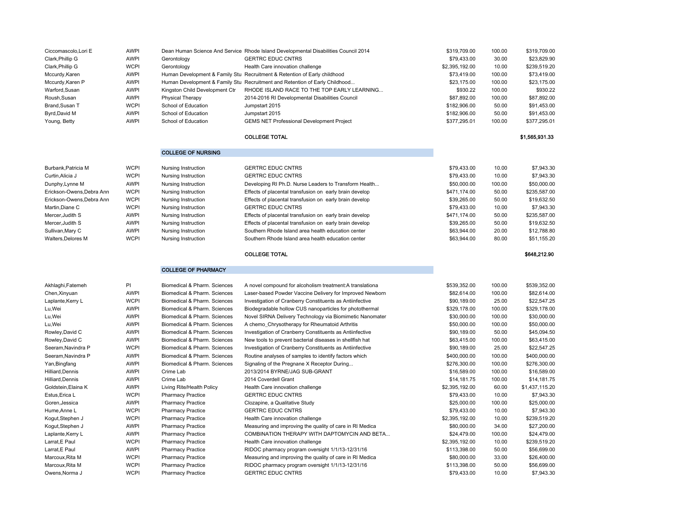| Ciccomascolo, Lori E              | <b>AWPI</b>                |                                                      | Dean Human Science And Service Rhode Island Developmental Disabilities Council 2014 | \$319,709.00                | 100.00         | \$319,709.00                 |
|-----------------------------------|----------------------------|------------------------------------------------------|-------------------------------------------------------------------------------------|-----------------------------|----------------|------------------------------|
| Clark, Phillip G                  | <b>AWPI</b>                | Gerontology                                          | <b>GERTRC EDUC CNTRS</b>                                                            | \$79,433.00                 | 30.00          | \$23,829.90                  |
| Clark, Phillip G                  | <b>WCPI</b>                | Gerontology                                          | Health Care innovation challenge                                                    | \$2,395,192.00              | 10.00          | \$239,519.20                 |
| Mccurdy, Karen                    | <b>AWPI</b>                |                                                      | Human Development & Family Stu Recruitment & Retention of Early childhood           | \$73,419.00                 | 100.00         | \$73,419.00                  |
| Mccurdy, Karen P                  | <b>AWPI</b>                |                                                      | Human Development & Family Stu Recruitment and Retention of Early Childhood         | \$23,175.00                 | 100.00         | \$23,175.00                  |
| Warford, Susan                    | <b>AWPI</b>                | Kingston Child Development Ctr                       | RHODE ISLAND RACE TO THE TOP EARLY LEARNING                                         | \$930.22                    | 100.00         | \$930.22                     |
| Roush, Susan                      | <b>AWPI</b>                | Physical Therapy                                     | 2014-2016 RI Developmental Disabilities Council                                     | \$87,892.00                 | 100.00         | \$87,892.00                  |
| Brand, Susan T                    | <b>WCPI</b>                | School of Education                                  | Jumpstart 2015                                                                      | \$182,906.00                | 50.00          | \$91,453.00                  |
| Byrd, David M                     | <b>AWPI</b>                | School of Education                                  | Jumpstart 2015                                                                      | \$182,906.00                | 50.00          | \$91,453.00                  |
| Young, Betty                      | <b>AWPI</b>                | School of Education                                  | <b>GEMS NET Professional Development Project</b>                                    | \$377,295.01                | 100.00         | \$377,295.01                 |
|                                   |                            |                                                      | <b>COLLEGE TOTAL</b>                                                                |                             |                | \$1,565,931.33               |
|                                   |                            | <b>COLLEGE OF NURSING</b>                            |                                                                                     |                             |                |                              |
| Burbank, Patricia M               | <b>WCPI</b>                | Nursing Instruction                                  | <b>GERTRC EDUC CNTRS</b>                                                            | \$79,433.00                 | 10.00          | \$7,943.30                   |
| Curtin.Alicia J                   | <b>WCPI</b>                | Nursing Instruction                                  | <b>GERTRC EDUC CNTRS</b>                                                            | \$79,433.00                 | 10.00          | \$7,943.30                   |
| Dunphy, Lynne M                   | <b>AWPI</b>                | Nursing Instruction                                  | Developing RI Ph.D. Nurse Leaders to Transform Health                               | \$50,000.00                 | 100.00         | \$50,000.00                  |
| Erickson-Owens, Debra Ann         | <b>WCPI</b>                | Nursing Instruction                                  | Effects of placental transfusion on early brain develop                             | \$471,174.00                | 50.00          | \$235,587.00                 |
| Erickson-Owens, Debra Ann         | <b>WCPI</b>                | Nursing Instruction                                  | Effects of placental transfusion on early brain develop                             | \$39,265.00                 | 50.00          | \$19,632.50                  |
| Martin, Diane C                   | <b>WCPI</b>                | Nursing Instruction                                  | <b>GERTRC EDUC CNTRS</b>                                                            | \$79,433.00                 | 10.00          | \$7,943.30                   |
| Mercer, Judith S                  | <b>AWPI</b>                | Nursing Instruction                                  | Effects of placental transfusion on early brain develop                             | \$471,174.00                | 50.00          | \$235,587.00                 |
| Mercer, Judith S                  | <b>AWPI</b>                | Nursing Instruction                                  | Effects of placental transfusion on early brain develop                             | \$39,265.00                 | 50.00          | \$19,632.50                  |
| Sullivan, Mary C                  | <b>AWPI</b>                | Nursing Instruction                                  | Southern Rhode Island area health education center                                  | \$63,944.00                 | 20.00          | \$12,788.80                  |
| Walters, Delores M                | <b>WCPI</b>                | Nursing Instruction                                  | Southern Rhode Island area health education center                                  | \$63,944.00                 | 80.00          | \$51,155.20                  |
|                                   |                            |                                                      |                                                                                     |                             |                |                              |
|                                   |                            |                                                      | <b>COLLEGE TOTAL</b>                                                                |                             |                | \$648,212.90                 |
|                                   |                            |                                                      |                                                                                     |                             |                |                              |
|                                   |                            | <b>COLLEGE OF PHARMACY</b>                           |                                                                                     |                             |                |                              |
| Akhlaghi, Fatemeh                 | PI                         | Biomedical & Pharm. Sciences                         | A novel compound for alcoholism treatment: A translationa                           | \$539,352.00                | 100.00         | \$539,352.00                 |
| Chen, Xinyuan                     | <b>AWPI</b>                | Biomedical & Pharm, Sciences                         | Laser-based Powder Vaccine Delivery for Improved Newborn                            | \$82,614.00                 | 100.00         | \$82,614.00                  |
| Laplante, Kerry L                 | <b>WCPI</b>                | Biomedical & Pharm. Sciences                         | Investigation of Cranberry Constituents as Antiinfective                            | \$90,189.00                 | 25.00          | \$22,547.25                  |
| Lu, Wei                           | <b>AWPI</b>                | Biomedical & Pharm. Sciences                         | Biodegradable hollow CUS nanoparticles for photothermal                             | \$329,178.00                | 100.00         | \$329,178.00                 |
| Lu, Wei                           | <b>AWPI</b>                | Biomedical & Pharm. Sciences                         | Novel SIRNA Delivery Technology via Biomimetic Nanomater                            | \$30,000.00                 | 100.00         | \$30,000.00                  |
| Lu, Wei                           | <b>AWPI</b>                | Biomedical & Pharm. Sciences                         | A chemo_Chrysotherapy for Rheumatoid Arthritis                                      | \$50,000.00                 | 100.00         | \$50,000.00                  |
| Rowley, David C                   | <b>AWPI</b>                | Biomedical & Pharm. Sciences                         | Investigation of Cranberry Constituents as Antiinfective                            | \$90,189.00                 | 50.00          | \$45,094.50                  |
| Rowley, David C                   | <b>AWPI</b>                | Biomedical & Pharm. Sciences                         | New tools to prevent bacterial diseases in shellfish hat                            | \$63,415.00                 | 100.00         | \$63,415.00                  |
| Seeram, Navindra P                | <b>WCPI</b>                | Biomedical & Pharm. Sciences                         | Investigation of Cranberry Constituents as Antiinfective                            | \$90,189.00                 | 25.00          | \$22,547.25                  |
| Seeram, Navindra P                | <b>AWPI</b>                | Biomedical & Pharm. Sciences                         |                                                                                     | \$400,000.00                | 100.00         |                              |
|                                   | <b>AWPI</b>                | Biomedical & Pharm. Sciences                         | Routine analyses of samples to identify factors which                               | \$276,300.00                | 100.00         | \$400,000.00<br>\$276,300.00 |
| Yan, Bingfang                     |                            |                                                      | Signaling of the Pregnane X Receptor During                                         |                             |                |                              |
| Hilliard, Dennis                  | <b>AWPI</b>                | Crime Lab                                            | 2013/2014 BYRNE/JAG SUB-GRANT<br>2014 Coverdell Grant                               | \$16,589.00                 | 100.00         | \$16,589.00                  |
| Hilliard, Dennis                  | <b>AWPI</b>                | Crime Lab                                            |                                                                                     | \$14,181.75                 | 100.00         | \$14,181.75                  |
| Goldstein, Elaina K               | <b>AWPI</b>                | Living Rite/Health Policy                            | Health Care innovation challenge                                                    | \$2,395,192.00              | 60.00          | \$1,437,115.20               |
| Estus, Erica L                    | <b>WCPI</b>                | <b>Pharmacy Practice</b>                             | <b>GERTRC EDUC CNTRS</b>                                                            | \$79,433.00                 | 10.00          | \$7,943.30                   |
| Goren, Jessica                    | <b>AWPI</b>                | <b>Pharmacy Practice</b>                             | Clozapine, a Qualitative Study                                                      | \$25,000.00                 | 100.00         | \$25,000.00                  |
| Hume, Anne L                      | <b>WCPI</b>                | <b>Pharmacy Practice</b>                             | <b>GERTRC EDUC CNTRS</b>                                                            | \$79,433.00                 | 10.00          | \$7,943.30                   |
| Kogut, Stephen J                  | <b>WCPI</b>                | <b>Pharmacy Practice</b>                             | Health Care innovation challenge                                                    | \$2,395,192.00              | 10.00          | \$239,519.20                 |
| Kogut, Stephen J                  | <b>AWPI</b>                | <b>Pharmacy Practice</b>                             | Measuring and improving the quality of care in RI Medica                            | \$80,000.00                 | 34.00          | \$27,200.00                  |
| Laplante, Kerry L                 | <b>AWPI</b>                | <b>Pharmacy Practice</b>                             | COMBINATION THERAPY WITH DAPTOMYCIN AND BETA                                        | \$24,479.00                 | 100.00         | \$24,479.00                  |
| Larrat, E Paul                    | <b>WCPI</b>                | <b>Pharmacy Practice</b>                             | Health Care innovation challenge                                                    | \$2,395,192.00              | 10.00          | \$239,519.20                 |
| Larrat, E Paul                    | <b>AWPI</b>                | <b>Pharmacy Practice</b>                             | RIDOC pharmacy program oversight 1/1/13-12/31/16                                    | \$113,398.00                | 50.00          | \$56,699.00                  |
| Marcoux, Rita M                   | <b>WCPI</b>                | <b>Pharmacy Practice</b>                             | Measuring and improving the quality of care in RI Medica                            | \$80,000.00                 | 33.00          | \$26,400.00                  |
| Marcoux, Rita M<br>Owens, Norma J | <b>WCPI</b><br><b>WCPI</b> | <b>Pharmacy Practice</b><br><b>Pharmacy Practice</b> | RIDOC pharmacy program oversight 1/1/13-12/31/16<br><b>GERTRC EDUC CNTRS</b>        | \$113,398.00<br>\$79,433.00 | 50.00<br>10.00 | \$56,699.00<br>\$7,943.30    |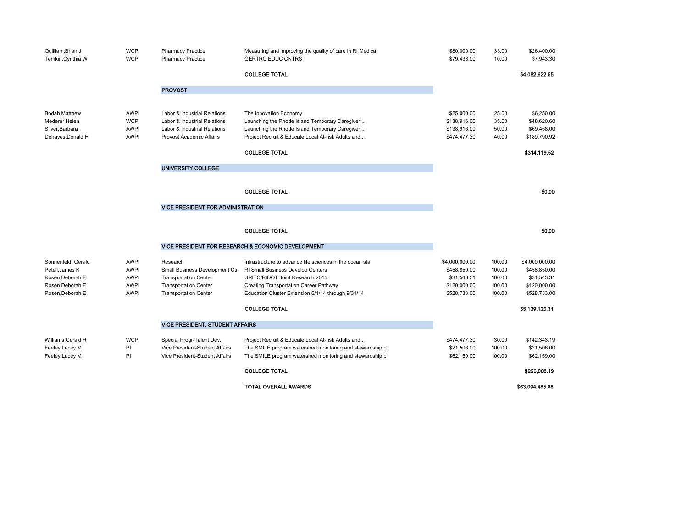| Quilliam, Brian J<br>Temkin, Cynthia W | <b>WCPI</b><br><b>WCPI</b> | <b>Pharmacy Practice</b><br><b>Pharmacy Practice</b>         | Measuring and improving the quality of care in RI Medica<br><b>GERTRC EDUC CNTRS</b>         | \$80,000.00<br>\$79,433.00   | 33.00<br>10.00   | \$26,400.00<br>\$7,943.30    |
|----------------------------------------|----------------------------|--------------------------------------------------------------|----------------------------------------------------------------------------------------------|------------------------------|------------------|------------------------------|
|                                        |                            |                                                              | <b>COLLEGE TOTAL</b>                                                                         |                              |                  | \$4,082,622.55               |
|                                        |                            | <b>PROVOST</b>                                               |                                                                                              |                              |                  |                              |
| Bodah, Matthew                         | <b>AWPI</b>                | Labor & Industrial Relations                                 | The Innovation Economy                                                                       | \$25,000.00                  | 25.00            | \$6,250.00                   |
| Mederer, Helen                         | <b>WCPI</b>                | Labor & Industrial Relations                                 | Launching the Rhode Island Temporary Caregiver                                               | \$138,916.00                 | 35.00            | \$48,620.60                  |
| Silver, Barbara                        | <b>AWPI</b>                | Labor & Industrial Relations                                 | Launching the Rhode Island Temporary Caregiver                                               | \$138,916.00                 | 50.00            | \$69,458.00                  |
| Dehayes, Donald H                      | <b>AWPI</b>                | Provost Academic Affairs                                     | Project Recruit & Educate Local At-risk Adults and                                           | \$474,477.30                 | 40.00            | \$189,790.92                 |
|                                        |                            |                                                              | <b>COLLEGE TOTAL</b>                                                                         |                              |                  | \$314,119.52                 |
|                                        |                            | UNIVERSITY COLLEGE                                           |                                                                                              |                              |                  |                              |
|                                        |                            |                                                              |                                                                                              |                              |                  |                              |
|                                        |                            |                                                              | <b>COLLEGE TOTAL</b>                                                                         |                              |                  | \$0.00                       |
|                                        |                            | <b>VICE PRESIDENT FOR ADMINISTRATION</b>                     |                                                                                              |                              |                  |                              |
|                                        |                            |                                                              |                                                                                              |                              |                  |                              |
|                                        |                            |                                                              | <b>COLLEGE TOTAL</b>                                                                         |                              |                  | \$0.00                       |
|                                        |                            |                                                              | VICE PRESIDENT FOR RESEARCH & ECONOMIC DEVELOPMENT                                           |                              |                  |                              |
| Sonnenfeld, Gerald                     | AWPI                       | Research                                                     | Infrastructure to advance life sciences in the ocean sta                                     | \$4,000,000.00               | 100.00           | \$4,000,000.00               |
| Petell, James K                        | <b>AWPI</b>                | Small Business Development Ctr                               | RI Small Business Develop Centers                                                            | \$458,850.00                 | 100.00           | \$458,850.00                 |
| Rosen.Deborah E                        | <b>AWPI</b>                | <b>Transportation Center</b>                                 | URITC/RIDOT Joint Research 2015                                                              | \$31,543.31                  | 100.00           | \$31,543.31                  |
| Rosen, Deborah E<br>Rosen, Deborah E   | <b>AWPI</b><br><b>AWPI</b> | <b>Transportation Center</b><br><b>Transportation Center</b> | Creating Transportation Career Pathway<br>Education Cluster Extension 6/1/14 through 9/31/14 | \$120,000.00<br>\$528,733.00 | 100.00<br>100.00 | \$120,000.00<br>\$528,733.00 |
|                                        |                            |                                                              | <b>COLLEGE TOTAL</b>                                                                         |                              |                  | \$5,139,126.31               |
|                                        |                            | <b>VICE PRESIDENT, STUDENT AFFAIRS</b>                       |                                                                                              |                              |                  |                              |
|                                        |                            |                                                              |                                                                                              |                              |                  |                              |
| Williams, Gerald R                     | <b>WCPI</b>                | Special Progr-Talent Dev.                                    | Project Recruit & Educate Local At-risk Adults and                                           | \$474,477.30                 | 30.00            | \$142,343.19                 |
| Feeley, Lacey M                        | PI                         | Vice President-Student Affairs                               | The SMILE program watershed monitoring and stewardship p                                     | \$21,506.00                  | 100.00           | \$21,506.00                  |
| Feeley, Lacey M                        | PI                         | Vice President-Student Affairs                               | The SMILE program watershed monitoring and stewardship p                                     | \$62,159.00                  | 100.00           | \$62,159.00                  |
|                                        |                            |                                                              | <b>COLLEGE TOTAL</b>                                                                         |                              |                  | \$226,008.19                 |
|                                        |                            |                                                              | <b>TOTAL OVERALL AWARDS</b>                                                                  |                              |                  | \$63,094,485.88              |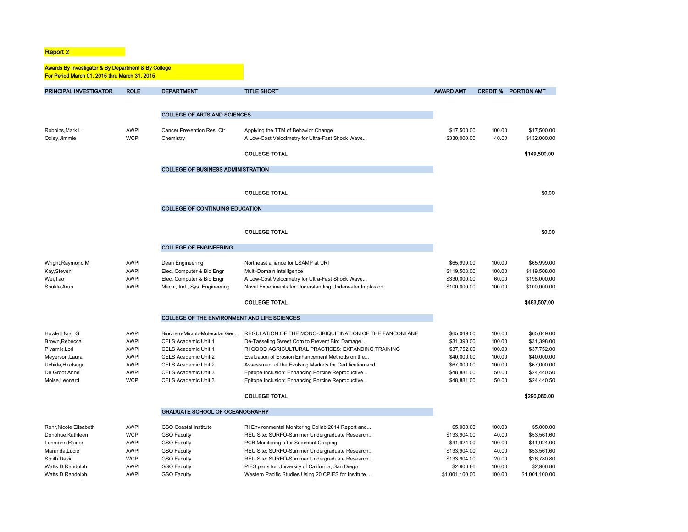#### **Report 2 Report 2**

#### Awards By Investigator & By Department & By College For Period March 01, 2015 thru March 31, 2015

| PRINCIPAL INVESTIGATOR | <b>ROLE</b> | <b>DEPARTMENT</b>                            | <b>TITLE SHORT</b>                                       | <b>AWARD AMT</b> | <b>CREDIT %</b> | <b>PORTION AMT</b> |
|------------------------|-------------|----------------------------------------------|----------------------------------------------------------|------------------|-----------------|--------------------|
|                        |             |                                              |                                                          |                  |                 |                    |
|                        |             | <b>COLLEGE OF ARTS AND SCIENCES</b>          |                                                          |                  |                 |                    |
|                        |             |                                              |                                                          |                  |                 |                    |
| Robbins, Mark L        | <b>AWPI</b> | Cancer Prevention Res. Ctr                   | Applying the TTM of Behavior Change                      | \$17,500.00      | 100.00          | \$17,500.00        |
| Oxley, Jimmie          | <b>WCPI</b> | Chemistry                                    | A Low-Cost Velocimetry for Ultra-Fast Shock Wave         | \$330,000.00     | 40.00           | \$132,000.00       |
|                        |             |                                              |                                                          |                  |                 |                    |
|                        |             |                                              | <b>COLLEGE TOTAL</b>                                     |                  |                 | \$149,500.00       |
|                        |             | <b>COLLEGE OF BUSINESS ADMINISTRATION</b>    |                                                          |                  |                 |                    |
|                        |             |                                              |                                                          |                  |                 |                    |
|                        |             |                                              |                                                          |                  |                 |                    |
|                        |             |                                              | <b>COLLEGE TOTAL</b>                                     |                  |                 | \$0.00             |
|                        |             | <b>COLLEGE OF CONTINUING EDUCATION</b>       |                                                          |                  |                 |                    |
|                        |             |                                              |                                                          |                  |                 |                    |
|                        |             |                                              |                                                          |                  |                 |                    |
|                        |             |                                              | <b>COLLEGE TOTAL</b>                                     |                  |                 | \$0.00             |
|                        |             | <b>COLLEGE OF ENGINEERING</b>                |                                                          |                  |                 |                    |
|                        |             |                                              |                                                          |                  |                 |                    |
| Wright, Raymond M      | <b>AWPI</b> | Dean Engineering                             | Northeast alliance for LSAMP at URI                      | \$65,999.00      | 100.00          | \$65,999.00        |
| Kay, Steven            | <b>AWPI</b> | Elec, Computer & Bio Engr                    | Multi-Domain Intelligence                                | \$119,508.00     | 100.00          | \$119,508.00       |
| Wei, Tao               | <b>AWPI</b> | Elec, Computer & Bio Engr                    | A Low-Cost Velocimetry for Ultra-Fast Shock Wave         | \$330,000.00     | 60.00           | \$198,000.00       |
| Shukla, Arun           | <b>AWPI</b> | Mech., Ind., Sys. Engineering                | Novel Experiments for Understanding Underwater Implosion | \$100,000.00     | 100.00          | \$100,000.00       |
|                        |             |                                              | <b>COLLEGE TOTAL</b>                                     |                  |                 | \$483,507.00       |
|                        |             | COLLEGE OF THE ENVIRONMENT AND LIFE SCIENCES |                                                          |                  |                 |                    |
| Howlett.Niall G        | <b>AWPI</b> | Biochem-Microb-Molecular Gen.                | REGULATION OF THE MONO-UBIQUITINATION OF THE FANCONI ANE | \$65,049.00      | 100.00          | \$65,049.00        |
| Brown, Rebecca         | <b>AWPI</b> | CELS Academic Unit 1                         | De-Tasseling Sweet Corn to Prevent Bird Damage           | \$31,398.00      | 100.00          | \$31,398.00        |
| Pivarnik, Lori         | <b>AWPI</b> | CELS Academic Unit 1                         | RI GOOD AGRICULTURAL PRACTICES: EXPANDING TRAINING       | \$37,752.00      | 100.00          | \$37,752.00        |
| Meyerson, Laura        | <b>AWPI</b> | CELS Academic Unit 2                         | Evaluation of Erosion Enhancement Methods on the         | \$40,000.00      | 100.00          | \$40,000.00        |
| Uchida, Hirotsugu      | <b>AWPI</b> | CELS Academic Unit 2                         | Assessment of the Evolving Markets for Certification and | \$67,000.00      | 100.00          | \$67,000.00        |
| De Groot, Anne         | <b>AWPI</b> | CELS Academic Unit 3                         | Epitope Inclusion: Enhancing Porcine Reproductive        | \$48,881.00      | 50.00           | \$24,440.50        |
| Moise, Leonard         | <b>WCPI</b> | CELS Academic Unit 3                         | Epitope Inclusion: Enhancing Porcine Reproductive        | \$48,881.00      | 50.00           | \$24,440.50        |
|                        |             |                                              | <b>COLLEGE TOTAL</b>                                     |                  |                 | \$290,080.00       |
|                        |             | <b>GRADUATE SCHOOL OF OCEANOGRAPHY</b>       |                                                          |                  |                 |                    |
|                        |             |                                              |                                                          |                  |                 |                    |
| Rohr, Nicole Elisabeth | <b>AWPI</b> | <b>GSO Coastal Institute</b>                 | RI Environmental Monitoring Collab:2014 Report and       | \$5,000.00       | 100.00          | \$5,000.00         |
| Donohue.Kathleen       | <b>WCPI</b> | <b>GSO Faculty</b>                           | REU Site: SURFO-Summer Undergraduate Research            | \$133,904.00     | 40.00           | \$53,561.60        |
| Lohmann, Rainer        | <b>AWPI</b> | <b>GSO Faculty</b>                           | PCB Monitoring after Sediment Capping                    | \$41,924.00      | 100.00          | \$41,924.00        |
| Maranda, Lucie         | <b>AWPI</b> | <b>GSO Faculty</b>                           | REU Site: SURFO-Summer Undergraduate Research            | \$133,904.00     | 40.00           | \$53,561.60        |
| Smith, David           | <b>WCPI</b> | <b>GSO Faculty</b>                           | REU Site: SURFO-Summer Undergraduate Research            | \$133,904.00     | 20.00           | \$26,780.80        |
| Watts, D Randolph      | <b>AWPI</b> | <b>GSO Faculty</b>                           | PIES parts for University of California, San Diego       | \$2,906.86       | 100.00          | \$2,906.86         |
| Watts, D Randolph      | <b>AWPI</b> | <b>GSO Faculty</b>                           | Western Pacific Studies Using 20 CPIES for Institute     | \$1,001,100.00   | 100.00          | \$1,001,100.00     |